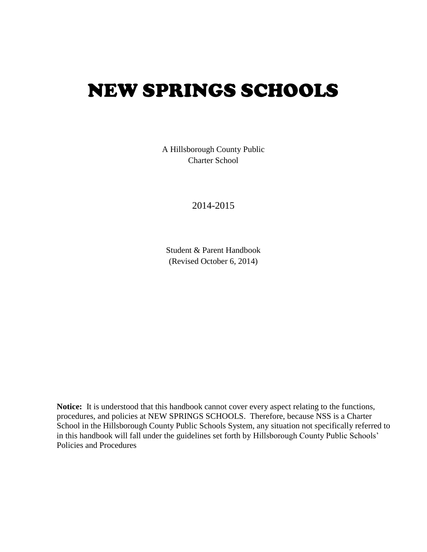# NEW SPRINGS SCHOOLS

A Hillsborough County Public Charter School

2014-2015

Student & Parent Handbook (Revised October 6, 2014)

**Notice:** It is understood that this handbook cannot cover every aspect relating to the functions, procedures, and policies at NEW SPRINGS SCHOOLS. Therefore, because NSS is a Charter School in the Hillsborough County Public Schools System, any situation not specifically referred to in this handbook will fall under the guidelines set forth by Hillsborough County Public Schools' Policies and Procedures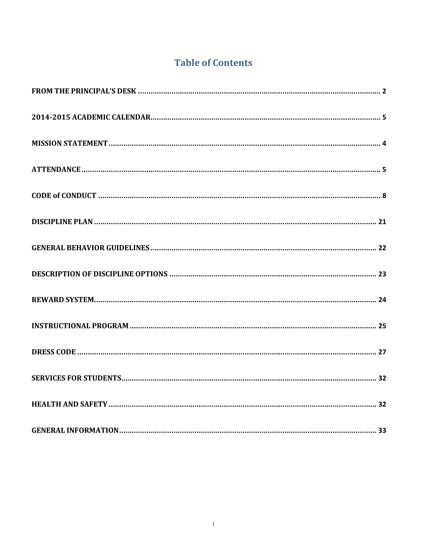# **Table of Contents**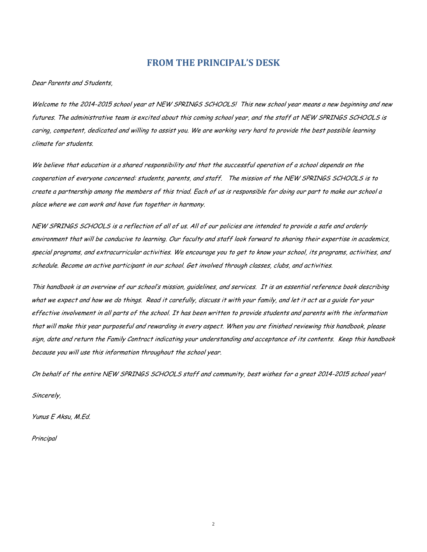# **FROM THE PRINCIPAL'S DESK**

<span id="page-2-0"></span>Dear Parents and Students,

Welcome to the 2014-2015 school year at NEW SPRINGS SCHOOLS! This new school year means a new beginning and new futures. The administrative team is excited about this coming school year, and the staff at NEW SPRINGS SCHOOLS is caring, competent, dedicated and willing to assist you. We are working very hard to provide the best possible learning climate for students.

We believe that education is a shared responsibility and that the successful operation of a school depends on the cooperation of everyone concerned: students, parents, and staff. The mission of the NEW SPRINGS SCHOOLS is to create a partnership among the members of this triad. Each of us is responsible for doing our part to make our school a place where we can work and have fun together in harmony.

NEW SPRINGS SCHOOLS is a reflection of all of us. All of our policies are intended to provide a safe and orderly environment that will be conducive to learning. Our faculty and staff look forward to sharing their expertise in academics, special programs, and extracurricular activities. We encourage you to get to know your school, its programs, activities, and schedule. Become an active participant in our school. Get involved through classes, clubs, and activities.

This handbook is an overview of our school's mission, guidelines, and services. It is an essential reference book describing what we expect and how we do things. Read it carefully, discuss it with your family, and let it act as a guide for your effective involvement in all parts of the school. It has been written to provide students and parents with the information that will make this year purposeful and rewarding in every aspect. When you are finished reviewing this handbook, please sign, date and return the Family Contract indicating your understanding and acceptance of its contents. Keep this handbook because you will use this information throughout the school year.

On behalf of the entire NEW SPRINGS SCHOOLS staff and community, best wishes for a great 2014-2015 school year!

Sincerely,

Yunus E Aksu, M.Ed.

**Principal** 

2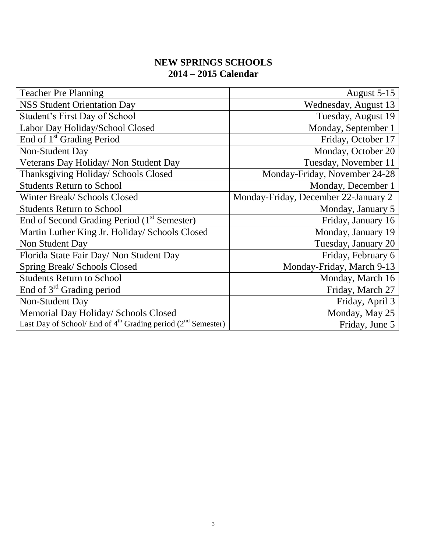# **NEW SPRINGS SCHOOLS 2014 – 2015 Calendar**

<span id="page-3-0"></span>

| <b>Teacher Pre Planning</b>                                                          | August 5-15                          |
|--------------------------------------------------------------------------------------|--------------------------------------|
| <b>NSS Student Orientation Day</b>                                                   | Wednesday, August 13                 |
| Student's First Day of School                                                        | Tuesday, August 19                   |
| Labor Day Holiday/School Closed                                                      | Monday, September 1                  |
| End of 1 <sup>st</sup> Grading Period                                                | Friday, October 17                   |
| <b>Non-Student Day</b>                                                               | Monday, October 20                   |
| Veterans Day Holiday/ Non Student Day                                                | Tuesday, November 11                 |
| Thanksgiving Holiday/ Schools Closed                                                 | Monday-Friday, November 24-28        |
| <b>Students Return to School</b>                                                     | Monday, December 1                   |
| Winter Break/ Schools Closed                                                         | Monday-Friday, December 22-January 2 |
| <b>Students Return to School</b>                                                     | Monday, January 5                    |
| End of Second Grading Period (1 <sup>st</sup> Semester)                              | Friday, January 16                   |
| Martin Luther King Jr. Holiday/ Schools Closed                                       | Monday, January 19                   |
| Non Student Day                                                                      | Tuesday, January 20                  |
| Florida State Fair Day/ Non Student Day                                              | Friday, February 6                   |
| Spring Break/ Schools Closed                                                         | Monday-Friday, March 9-13            |
| <b>Students Return to School</b>                                                     | Monday, March 16                     |
| End of $3rd$ Grading period                                                          | Friday, March 27                     |
| Non-Student Day                                                                      | Friday, April 3                      |
| Memorial Day Holiday/ Schools Closed                                                 | Monday, May 25                       |
| Last Day of School/ End of 4 <sup>th</sup> Grading period (2 <sup>nd</sup> Semester) | Friday, June 5                       |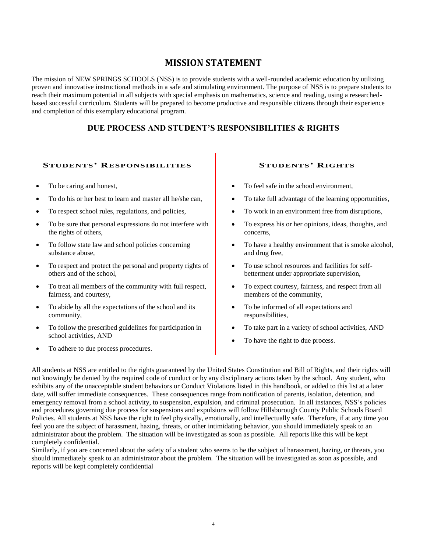# **MISSION STATEMENT**

The mission of NEW SPRINGS SCHOOLS (NSS) is to provide students with a well-rounded academic education by utilizing proven and innovative instructional methods in a safe and stimulating environment. The purpose of NSS is to prepare students to reach their maximum potential in all subjects with special emphasis on mathematics, science and reading, using a researchedbased successful curriculum. Students will be prepared to become productive and responsible citizens through their experience and completion of this exemplary educational program.

#### **DUE PROCESS AND STUDENT'S RESPONSIBILITIES & RIGHTS**

#### **STUDENTS' RESPONSIBILITIES STUDENTS' RIGHTS**

- To be caring and honest,
- To do his or her best to learn and master all he/she can,
- To respect school rules, regulations, and policies,
- To be sure that personal expressions do not interfere with the rights of others,
- To follow state law and school policies concerning substance abuse,
- To respect and protect the personal and property rights of others and of the school,
- To treat all members of the community with full respect, fairness, and courtesy,
- To abide by all the expectations of the school and its community,
- To follow the prescribed guidelines for participation in school activities, AND
- To adhere to due process procedures.

- To feel safe in the school environment,
- To take full advantage of the learning opportunities,
- To work in an environment free from disruptions,
- To express his or her opinions, ideas, thoughts, and concerns,
- To have a healthy environment that is smoke alcohol, and drug free,
- To use school resources and facilities for selfbetterment under appropriate supervision,
- To expect courtesy, fairness, and respect from all members of the community,
- To be informed of all expectations and responsibilities,
- To take part in a variety of school activities, AND
- To have the right to due process.

All students at NSS are entitled to the rights guaranteed by the United States Constitution and Bill of Rights, and their rights will not knowingly be denied by the required code of conduct or by any disciplinary actions taken by the school. Any student, who exhibits any of the unacceptable student behaviors or Conduct Violations listed in this handbook, or added to this list at a later date, will suffer immediate consequences. These consequences range from notification of parents, isolation, detention, and emergency removal from a school activity, to suspension, expulsion, and criminal prosecution. In all instances, NSS's policies and procedures governing due process for suspensions and expulsions will follow Hillsborough County Public Schools Board Policies. All students at NSS have the right to feel physically, emotionally, and intellectually safe. Therefore, if at any time you feel you are the subject of harassment, hazing, threats, or other intimidating behavior, you should immediately speak to an administrator about the problem. The situation will be investigated as soon as possible. All reports like this will be kept completely confidential.

<span id="page-4-0"></span>Similarly, if you are concerned about the safety of a student who seems to be the subject of harassment, hazing, or threats, you should immediately speak to an administrator about the problem. The situation will be investigated as soon as possible, and reports will be kept completely confidential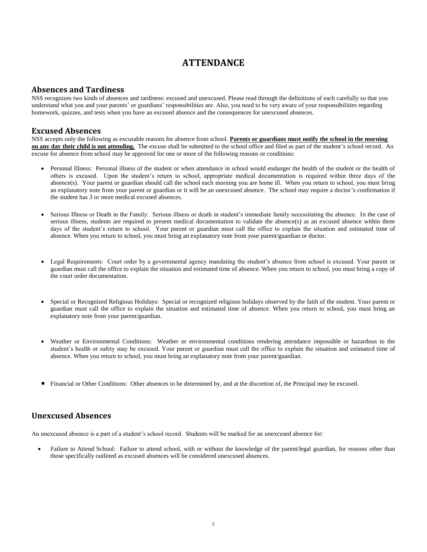# **ATTENDANCE**

#### **Absences and Tardiness**

NSS recognizes two kinds of absences and tardiness: excused and unexcused. Please read through the definitions of each carefully so that you understand what you and your parents' or guardians' responsibilities are. Also, you need to be very aware of your responsibilities regarding homework, quizzes, and tests when you have an excused absence and the consequences for unexcused absences.

#### **Excused Absences**

NSS accepts only the following as excusable reasons for absence from school. **Parents or guardians must notify the school in the morning on any day their child is not attending.** The excuse shall be submitted to the school office and filed as part of the student's school record. An excuse for absence from school may be approved for one or more of the following reasons or conditions:

- Personal Illness: Personal illness of the student or when attendance in school would endanger the health of the student or the health of others is excused. Upon the student's return to school, appropriate medical documentation is required within three days of the absence(s). Your parent or guardian should call the school each morning you are home ill. When you return to school, you must bring an explanatory note from your parent or guardian or it will be an unexcused absence. The school may require a doctor's confirmation if the student has 3 or more medical excused absences.
- Serious Illness or Death in the Family: Serious illness or death in student's immediate family necessitating the absence. In the case of serious illness, students are required to present medical documentation to validate the absence(s) as an excused absence within three days of the student's return to school. Your parent or guardian must call the office to explain the situation and estimated time of absence. When you return to school, you must bring an explanatory note from your parent/guardian or doctor.
- Legal Requirements: Court order by a governmental agency mandating the student's absence from school is excused. Your parent or guardian must call the office to explain the situation and estimated time of absence. When you return to school, you must bring a copy of the court order documentation.
- Special or Recognized Religious Holidays: Special or recognized religious holidays observed by the faith of the student. Your parent or guardian must call the office to explain the situation and estimated time of absence. When you return to school, you must bring an explanatory note from your parent/guardian.
- Weather or Environmental Conditions: Weather or environmental conditions rendering attendance impossible or hazardous to the student's health or safety may be excused. Your parent or guardian must call the office to explain the situation and estimated time of absence. When you return to school, you must bring an explanatory note from your parent/guardian.
- Financial or Other Conditions: Other absences to be determined by, and at the discretion of, the Principal may be excused.

#### **Unexcused Absences**

An unexcused absence is a part of a student's school record. Students will be marked for an unexcused absence for:

 Failure to Attend School: Failure to attend school, with or without the knowledge of the parent/legal guardian, for reasons other than those specifically outlined as excused absences will be considered unexcused absences.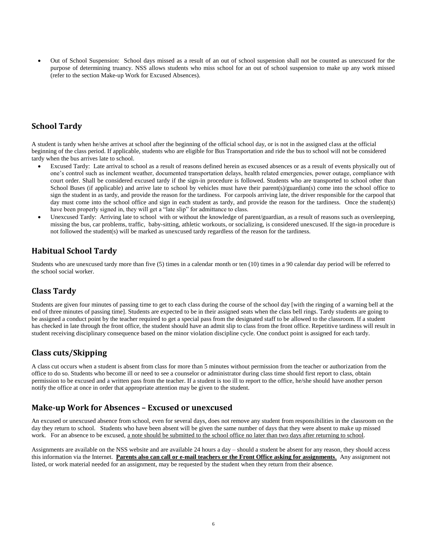Out of School Suspension: School days missed as a result of an out of school suspension shall not be counted as unexcused for the purpose of determining truancy. NSS allows students who miss school for an out of school suspension to make up any work missed (refer to the section Make-up Work for Excused Absences).

#### **School Tardy**

A student is tardy when he/she arrives at school after the beginning of the official school day, or is not in the assigned class at the official beginning of the class period. If applicable, students who are eligible for Bus Transportation and ride the bus to school will not be considered tardy when the bus arrives late to school.

- Excused Tardy: Late arrival to school as a result of reasons defined herein as excused absences or as a result of events physically out of one's control such as inclement weather, documented transportation delays, health related emergencies, power outage, compliance with court order. Shall be considered excused tardy if the sign-in procedure is followed. Students who are transported to school other than School Buses (if applicable) and arrive late to school by vehicles must have their parent(s)/guardian(s) come into the school office to sign the student in as tardy, and provide the reason for the tardiness. For carpools arriving late, the driver responsible for the carpool that day must come into the school office and sign in each student as tardy, and provide the reason for the tardiness. Once the student(s) have been properly signed in, they will get a "late slip" for admittance to class.
- Unexcused Tardy: Arriving late to school with or without the knowledge of parent/guardian, as a result of reasons such as oversleeping, missing the bus, car problems, traffic, baby-sitting, athletic workouts, or socializing, is considered unexcused. If the sign-in procedure is not followed the student(s) will be marked as unexcused tardy regardless of the reason for the tardiness.

#### **Habitual School Tardy**

Students who are unexcused tardy more than five (5) times in a calendar month or ten (10) times in a 90 calendar day period will be referred to the school social worker.

#### **Class Tardy**

Students are given four minutes of passing time to get to each class during the course of the school day [with the ringing of a warning bell at the end of three minutes of passing time]. Students are expected to be in their assigned seats when the class bell rings. Tardy students are going to be assigned a conduct point by the teacher required to get a special pass from the designated staff to be allowed to the classroom. If a student has checked in late through the front office, the student should have an admit slip to class from the front office. Repetitive tardiness will result in student receiving disciplinary consequence based on the minor violation discipline cycle. One conduct point is assigned for each tardy.

#### **Class cuts/Skipping**

A class cut occurs when a student is absent from class for more than 5 minutes without permission from the teacher or authorization from the office to do so. Students who become ill or need to see a counselor or administrator during class time should first report to class, obtain permission to be excused and a written pass from the teacher. If a student is too ill to report to the office, he/she should have another person notify the office at once in order that appropriate attention may be given to the student.

#### **Make-up Work for Absences – Excused or unexcused**

An excused or unexcused absence from school, even for several days, does not remove any student from responsibilities in the classroom on the day they return to school. Students who have been absent will be given the same number of days that they were absent to make up missed work. For an absence to be excused, a note should be submitted to the school office no later than two days after returning to school.

Assignments are available on the NSS website and are available 24 hours a day – should a student be absent for any reason, they should access this information via the Internet. **Parents also can call or e-mail teachers or the Front Office asking for assignments**. Any assignment not listed, or work material needed for an assignment, may be requested by the student when they return from their absence.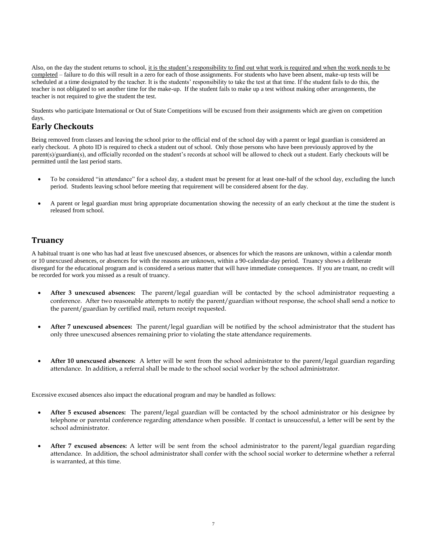Also, on the day the student returns to school, it is the student's responsibility to find out what work is required and when the work needs to be completed – failure to do this will result in a zero for each of those assignments. For students who have been absent, make-up tests will be scheduled at a time designated by the teacher. It is the students' responsibility to take the test at that time. If the student fails to do this, the teacher is not obligated to set another time for the make-up. If the student fails to make up a test without making other arrangements, the teacher is not required to give the student the test.

Students who participate International or Out of State Competitions will be excused from their assignments which are given on competition days.

#### **Early Checkouts**

Being removed from classes and leaving the school prior to the official end of the school day with a parent or legal guardian is considered an early checkout. A photo ID is required to check a student out of school. Only those persons who have been previously approved by the parent(s)/guardian(s), and officially recorded on the student's records at school will be allowed to check out a student. Early checkouts will be permitted until the last period starts.

- To be considered "in attendance" for a school day, a student must be present for at least one-half of the school day, excluding the lunch period. Students leaving school before meeting that requirement will be considered absent for the day.
- A parent or legal guardian must bring appropriate documentation showing the necessity of an early checkout at the time the student is released from school.

## **Truancy**

A habitual truant is one who has had at least five unexcused absences, or absences for which the reasons are unknown, within a calendar month or 10 unexcused absences, or absences for with the reasons are unknown, within a 90-calendar-day period. Truancy shows a deliberate disregard for the educational program and is considered a serious matter that will have immediate consequences. If you are truant, no credit will be recorded for work you missed as a result of truancy.

- **After 3 unexcused absences:** The parent/legal guardian will be contacted by the school administrator requesting a conference. After two reasonable attempts to notify the parent/guardian without response, the school shall send a notice to the parent/guardian by certified mail, return receipt requested.
- **After 7 unexcused absences:** The parent/legal guardian will be notified by the school administrator that the student has only three unexcused absences remaining prior to violating the state attendance requirements.
- **After 10 unexcused absences:** A letter will be sent from the school administrator to the parent/legal guardian regarding attendance. In addition, a referral shall be made to the school social worker by the school administrator.

Excessive excused absences also impact the educational program and may be handled as follows:

- **After 5 excused absences:** The parent/legal guardian will be contacted by the school administrator or his designee by telephone or parental conference regarding attendance when possible. If contact is unsuccessful, a letter will be sent by the school administrator.
- **After 7 excused absences:** A letter will be sent from the school administrator to the parent/legal guardian regarding attendance. In addition, the school administrator shall confer with the school social worker to determine whether a referral is warranted, at this time.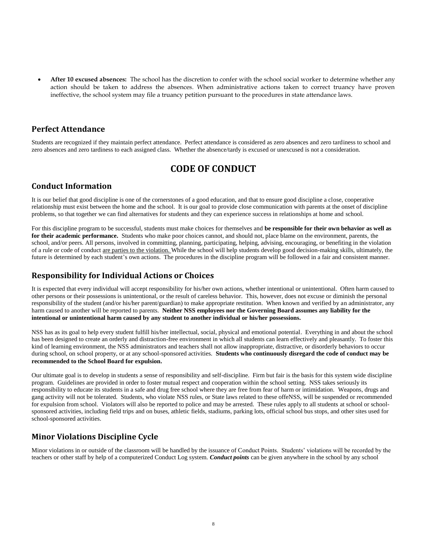**After 10 excused absences:** The school has the discretion to confer with the school social worker to determine whether any action should be taken to address the absences. When administrative actions taken to correct truancy have proven ineffective, the school system may file a truancy petition pursuant to the procedures in state attendance laws.

#### **Perfect Attendance**

Students are recognized if they maintain perfect attendance. Perfect attendance is considered as zero absences and zero tardiness to school and zero absences and zero tardiness to each assigned class. Whether the absence/tardy is excused or unexcused is not a consideration.

#### **CODE OF CONDUCT**

#### <span id="page-8-0"></span>**Conduct Information**

It is our belief that good discipline is one of the cornerstones of a good education, and that to ensure good discipline a close, cooperative relationship must exist between the home and the school. It is our goal to provide close communication with parents at the onset of discipline problems, so that together we can find alternatives for students and they can experience success in relationships at home and school.

For this discipline program to be successful, students must make choices for themselves and **be responsible for their own behavior as well as for their academic performance.** Students who make poor choices cannot, and should not, place blame on the environment, parents, the school, and/or peers. All persons, involved in committing, planning, participating, helping, advising, encouraging, or benefiting in the violation of a rule or code of conduct are parties to the violation. While the school will help students develop good decision-making skills, ultimately, the future is determined by each student's own actions. The procedures in the discipline program will be followed in a fair and consistent manner.

#### **Responsibility for Individual Actions or Choices**

It is expected that every individual will accept responsibility for his/her own actions, whether intentional or unintentional. Often harm caused to other persons or their possessions is unintentional, or the result of careless behavior. This, however, does not excuse or diminish the personal responsibility of the student (and/or his/her parent/guardian) to make appropriate restitution. When known and verified by an administrator, any harm caused to another will be reported to parents. **Neither NSS employees nor the Governing Board assumes any liability for the intentional or unintentional harm caused by any student to another individual or his/her possessions.**

NSS has as its goal to help every student fulfill his/her intellectual, social, physical and emotional potential. Everything in and about the school has been designed to create an orderly and distraction-free environment in which all students can learn effectively and pleasantly. To foster this kind of learning environment, the NSS administrators and teachers shall not allow inappropriate, distractive, or disorderly behaviors to occur during school, on school property, or at any school-sponsored activities. **Students who continuously disregard the code of conduct may be recommended to the School Board for expulsion.**

Our ultimate goal is to develop in students a sense of responsibility and self-discipline. Firm but fair is the basis for this system wide discipline program. Guidelines are provided in order to foster mutual respect and cooperation within the school setting. NSS takes seriously its responsibility to educate its students in a safe and drug free school where they are free from fear of harm or intimidation. Weapons, drugs and gang activity will not be tolerated. Students, who violate NSS rules, or State laws related to these offeNSS, will be suspended or recommended for expulsion from school. Violators will also be reported to police and may be arrested. These rules apply to all students at school or schoolsponsored activities, including field trips and on buses, athletic fields, stadiums, parking lots, official school bus stops, and other sites used for school-sponsored activities.

#### **Minor Violations Discipline Cycle**

Minor violations in or outside of the classroom will be handled by the issuance of Conduct Points. Students' violations will be recorded by the teachers or other staff by help of a computerized Conduct Log system. *Conduct points* can be given anywhere in the school by any school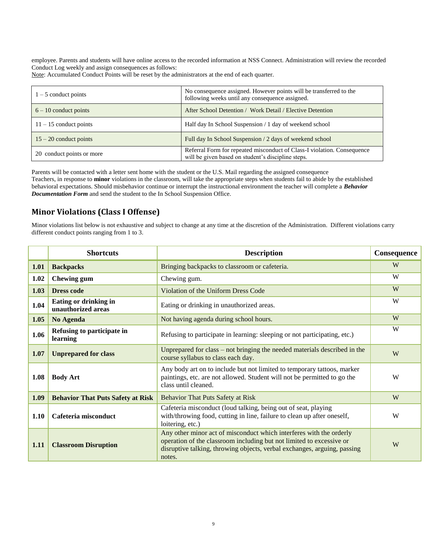employee. Parents and students will have online access to the recorded information at NSS Connect. Administration will review the recorded Conduct Log weekly and assign consequences as follows:

Note: Accumulated Conduct Points will be reset by the administrators at the end of each quarter.

| $1 - 5$ conduct points    | No consequence assigned. However points will be transferred to the<br>following weeks until any consequence assigned.         |
|---------------------------|-------------------------------------------------------------------------------------------------------------------------------|
| $6 - 10$ conduct points   | After School Detention / Work Detail / Elective Detention                                                                     |
| $11 - 15$ conduct points  | Half day In School Suspension / 1 day of weekend school                                                                       |
| $15 - 20$ conduct points  | Full day In School Suspension / 2 days of weekend school                                                                      |
| 20 conduct points or more | Referral Form for repeated misconduct of Class-I violation. Consequence<br>will be given based on student's discipline steps. |

Parents will be contacted with a letter sent home with the student or the U.S. Mail regarding the assigned consequence Teachers, in response to **minor** violations in the classroom, will take the appropriate steps when students fail to abide by the established behavioral expectations. Should misbehavior continue or interrupt the instructional environment the teacher will complete a *Behavior Documentation Form* and send the student to the In School Suspension Office.

#### **Minor Violations (Class I Offense)**

Minor violations list below is not exhaustive and subject to change at any time at the discretion of the Administration. Different violations carry different conduct points ranging from 1 to 3.

|      | <b>Shortcuts</b>                            | <b>Description</b>                                                                                                                                                                                                                | Consequence |
|------|---------------------------------------------|-----------------------------------------------------------------------------------------------------------------------------------------------------------------------------------------------------------------------------------|-------------|
| 1.01 | <b>Backpacks</b>                            | Bringing backpacks to classroom or cafeteria.                                                                                                                                                                                     | W           |
| 1.02 | <b>Chewing gum</b>                          | Chewing gum.                                                                                                                                                                                                                      | W           |
| 1.03 | <b>Dress code</b>                           | <b>Violation of the Uniform Dress Code</b>                                                                                                                                                                                        | W           |
| 1.04 | Eating or drinking in<br>unauthorized areas | Eating or drinking in unauthorized areas.                                                                                                                                                                                         | W           |
| 1.05 | No Agenda                                   | Not having agenda during school hours.                                                                                                                                                                                            | W           |
| 1.06 | Refusing to participate in<br>learning      | Refusing to participate in learning: sleeping or not participating, etc.)                                                                                                                                                         | W           |
| 1.07 | <b>Unprepared for class</b>                 | Unprepared for class – not bringing the needed materials described in the<br>course syllabus to class each day.                                                                                                                   | W           |
| 1.08 | <b>Body Art</b>                             | Any body art on to include but not limited to temporary tattoos, marker<br>paintings, etc. are not allowed. Student will not be permitted to go the<br>class until cleaned.                                                       | W           |
| 1.09 | <b>Behavior That Puts Safety at Risk</b>    | <b>Behavior That Puts Safety at Risk</b>                                                                                                                                                                                          | W           |
| 1.10 | Cafeteria misconduct                        | Cafeteria misconduct (loud talking, being out of seat, playing<br>with/throwing food, cutting in line, failure to clean up after oneself,<br>loitering, etc.)                                                                     | W           |
| 1.11 | <b>Classroom Disruption</b>                 | Any other minor act of misconduct which interferes with the orderly<br>operation of the classroom including but not limited to excessive or<br>disruptive talking, throwing objects, verbal exchanges, arguing, passing<br>notes. | W           |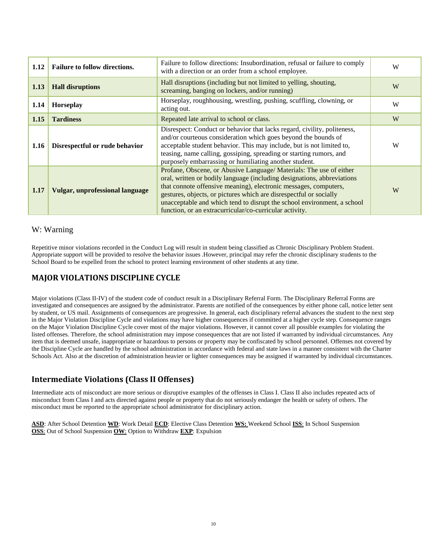| 1.12 | <b>Failure to follow directions.</b>   | Failure to follow directions: Insubordination, refusal or failure to comply<br>with a direction or an order from a school employee.                                                                                                                                                                                                                                                                                            | W |
|------|----------------------------------------|--------------------------------------------------------------------------------------------------------------------------------------------------------------------------------------------------------------------------------------------------------------------------------------------------------------------------------------------------------------------------------------------------------------------------------|---|
| 1.13 | <b>Hall disruptions</b>                | Hall disruptions (including but not limited to yelling, shouting,<br>screaming, banging on lockers, and/or running)                                                                                                                                                                                                                                                                                                            | W |
| 1.14 | Horseplay                              | Horseplay, roughhousing, wrestling, pushing, scuffling, clowning, or<br>acting out.                                                                                                                                                                                                                                                                                                                                            | W |
| 1.15 | <b>Tardiness</b>                       | Repeated late arrival to school or class.                                                                                                                                                                                                                                                                                                                                                                                      | W |
| 1.16 | Disrespectful or rude behavior         | Disrespect: Conduct or behavior that lacks regard, civility, politeness,<br>and/or courteous consideration which goes beyond the bounds of<br>acceptable student behavior. This may include, but is not limited to,<br>teasing, name calling, gossiping, spreading or starting rumors, and<br>purposely embarrassing or humiliating another student.                                                                           | W |
| 1.17 | <b>Vulgar, unprofessional language</b> | Profane, Obscene, or Abusive Language/ Materials: The use of either<br>oral, written or bodily language (including designations, abbreviations<br>that connote offensive meaning), electronic messages, computers,<br>gestures, objects, or pictures which are disrespectful or socially<br>unacceptable and which tend to disrupt the school environment, a school<br>function, or an extracurricular/co-curricular activity. | W |

#### W: Warning

Repetitive minor violations recorded in the Conduct Log will result in student being classified as Chronic Disciplinary Problem Student. Appropriate support will be provided to resolve the behavior issues .However, principal may refer the chronic disciplinary students to the School Board to be expelled from the school to protect learning environment of other students at any time.

#### **MAJOR VIOLATIONS DISCIPLINE CYCLE**

Major violations (Class II-IV) of the student code of conduct result in a Disciplinary Referral Form. The Disciplinary Referral Forms are investigated and consequences are assigned by the administrator. Parents are notified of the consequences by either phone call, notice letter sent by student, or US mail. Assignments of consequences are progressive. In general, each disciplinary referral advances the student to the next step in the Major Violation Discipline Cycle and violations may have higher consequences if committed at a higher cycle step. Consequence ranges on the Major Violation Discipline Cycle cover most of the major violations. However, it cannot cover all possible examples for violating the listed offenses. Therefore, the school administration may impose consequences that are not listed if warranted by individual circumstances. Any item that is deemed unsafe, inappropriate or hazardous to persons or property may be confiscated by school personnel. Offenses not covered by the Discipline Cycle are handled by the school administration in accordance with federal and state laws in a manner consistent with the Charter Schools Act. Also at the discretion of administration heavier or lighter consequences may be assigned if warranted by individual circumstances.

#### **Intermediate Violations (Class II Offenses)**

Intermediate acts of misconduct are more serious or disruptive examples of the offenses in Class I. Class II also includes repeated acts of misconduct from Class I and acts directed against people or property that do not seriously endanger the health or safety of others. The misconduct must be reported to the appropriate school administrator for disciplinary action.

**ASD**: After School Detention **WD**: Work Detail **ECD**: Elective Class Detention **WS:** Weekend School **ISS**: In School Suspension **OSS**: Out of School Suspension **OW**: Option to Withdraw **EXP**: Expulsion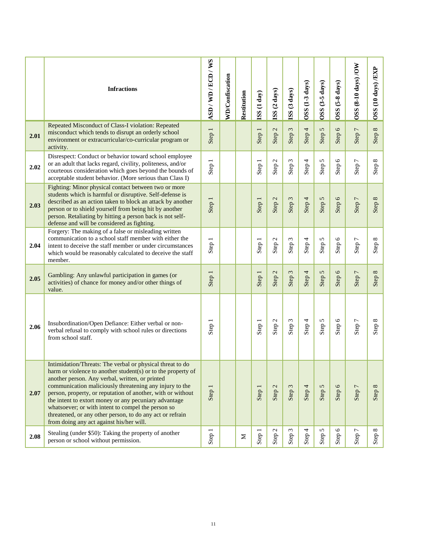|      | <b>Infractions</b>                                                                                                                                                                                                                                                                                                                                                                                                                                                                                                             | ASD/WD/ECD/WS | <b>WD/Confiscation</b> | Restitution | ISS (1 day) | ISS (2 days) | ISS (3 days)           | OSS (1-3 days) | $OSS$ $(3-5 \text{ days})$ | OSS (5-8 days) | OSS (8-10 days) /OW | OSS (10 days) /EXP |
|------|--------------------------------------------------------------------------------------------------------------------------------------------------------------------------------------------------------------------------------------------------------------------------------------------------------------------------------------------------------------------------------------------------------------------------------------------------------------------------------------------------------------------------------|---------------|------------------------|-------------|-------------|--------------|------------------------|----------------|----------------------------|----------------|---------------------|--------------------|
| 2.01 | Repeated Misconduct of Class-I violation: Repeated<br>misconduct which tends to disrupt an orderly school<br>environment or extracurricular/co-curricular program or<br>activity.                                                                                                                                                                                                                                                                                                                                              | Step 1        |                        |             | Step 1      | Step 2       | Step 3                 | Step 4         | Step 5                     | Step 6         | Step 7              | Step 8             |
| 2.02 | Disrespect: Conduct or behavior toward school employee<br>or an adult that lacks regard, civility, politeness, and/or<br>courteous consideration which goes beyond the bounds of<br>acceptable student behavior. (More serious than Class I)                                                                                                                                                                                                                                                                                   | Step 1        |                        |             | Step 1      | Step 2       | 3<br>Step <sup>-</sup> | Step 4         | Step 5                     | Step $6$       | Step 7              | Step 8             |
| 2.03 | Fighting: Minor physical contact between two or more<br>students which is harmful or disruptive. Self-defense is<br>described as an action taken to block an attack by another<br>person or to shield yourself from being hit by another<br>person. Retaliating by hitting a person back is not self-<br>defense and will be considered as fighting.                                                                                                                                                                           | Step 1        |                        |             | Step 1      | Step 2       | Step 3                 | Step 4         | Step 5                     | Step 6         | Step 7              | Step 8             |
| 2.04 | Forgery: The making of a false or misleading written<br>communication to a school staff member with either the<br>intent to deceive the staff member or under circumstances<br>which would be reasonably calculated to deceive the staff<br>member.                                                                                                                                                                                                                                                                            | Step 1        |                        |             | Step 1      | Step 2       | Step 3                 | Step 4         | 5<br>Step:                 | Step 6         | Step 7              | Step 8             |
| 2.05 | Gambling: Any unlawful participation in games (or<br>activities) of chance for money and/or other things of<br>value.                                                                                                                                                                                                                                                                                                                                                                                                          | Step 1        |                        |             | Step 1      | Step 2       | Step 3                 | Step 4         | 5<br>Step                  | Step 6         | Step 7              | Step 8             |
| 2.06 | Insubordination/Open Defiance: Either verbal or non-<br>verbal refusal to comply with school rules or directions<br>from school staff.                                                                                                                                                                                                                                                                                                                                                                                         | Step 1        |                        |             | Step 1      | Step 2       | $\omega$<br>Step:      | Step $4$       | Step 5                     | Step 6         | Step 7              | Step 8             |
| 2.07 | Intimidation/Threats: The verbal or physical threat to do<br>harm or violence to another student(s) or to the property of<br>another person. Any verbal, written, or printed<br>communication maliciously threatening any injury to the<br>person, property, or reputation of another, with or without<br>the intent to extort money or any pecuniary advantage<br>whatsoever; or with intent to compel the person so<br>threatened, or any other person, to do any act or refrain<br>from doing any act against his/her will. | Step 1        |                        |             | Step 1      | Step 2       | $\omega$<br>Step       | Step 4         | Step 5                     | Step 6         | Step 7              | Step 8             |
| 2.08 | Stealing (under \$50): Taking the property of another<br>person or school without permission.                                                                                                                                                                                                                                                                                                                                                                                                                                  | Step 1        |                        | Σ           | Step 1      | Step 2       | 3<br>Step              | Step 4         | 5<br>Step                  | 6<br>Step      | 7<br><b>Step</b>    | $\infty$<br>Step   |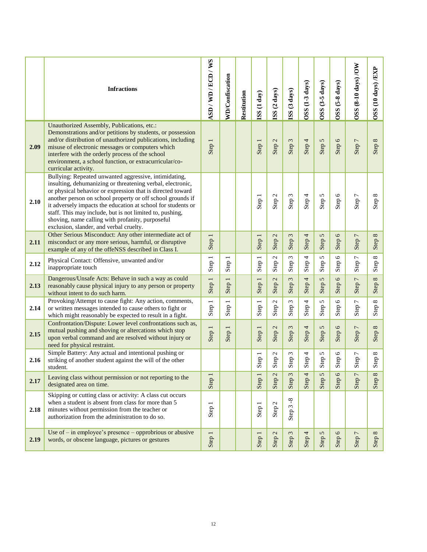|      | <b>Infractions</b>                                                                                                                                                                                                                                                                                                                                                                                                                                                         | ASD/WD/ECD/WS                    | <b>WD/Confiscation</b>           | Restitution | (SS (1 day)                      | ISS (2 days)           | ISS (3 days)           | OSS (1-3 days) | $OSS$ $(3-5 \text{ days})$ | $(5-8 \text{ days})$<br><b>OSS</b> | OSS (8-10 days) /OW                  | OSS (10 days) /EXP            |
|------|----------------------------------------------------------------------------------------------------------------------------------------------------------------------------------------------------------------------------------------------------------------------------------------------------------------------------------------------------------------------------------------------------------------------------------------------------------------------------|----------------------------------|----------------------------------|-------------|----------------------------------|------------------------|------------------------|----------------|----------------------------|------------------------------------|--------------------------------------|-------------------------------|
| 2.09 | Unauthorized Assembly, Publications, etc.:<br>Demonstrations and/or petitions by students, or possession<br>and/or distribution of unauthorized publications, including<br>misuse of electronic messages or computers which<br>interfere with the orderly process of the school<br>environment, a school function, or extracurricular/co-<br>curricular activity.                                                                                                          | Step 1                           |                                  |             | Step 1                           | Step <sub>2</sub>      | Step 3                 | Step 4         | Step 5                     | Step 6                             | Step 7                               | Step 8                        |
| 2.10 | Bullying: Repeated unwanted aggressive, intimidating,<br>insulting, dehumanizing or threatening verbal, electronic,<br>or physical behavior or expression that is directed toward<br>another person on school property or off school grounds if<br>it adversely impacts the education at school for students or<br>staff. This may include, but is not limited to, pushing,<br>shoving, name calling with profanity, purposeful<br>exclusion, slander, and verbal cruelty. |                                  |                                  |             | Step 1                           | Step 2                 | 3<br>Step:             | Step 4         | 5<br>Step:                 | Step 6                             | Step 7                               | Step 8                        |
| 2.11 | Other Serious Misconduct: Any other intermediate act of<br>misconduct or any more serious, harmful, or disruptive<br>example of any of the offeNSS described in Class I.                                                                                                                                                                                                                                                                                                   | Step 1                           |                                  |             | Step 1                           | Step <sub>2</sub>      | 3<br>Step <sup>:</sup> | Step 4         | 5<br>Step                  | $\circ$<br>Step <sup>(</sup>       | Step 7                               | $\infty$<br>Step <sup>1</sup> |
| 2.12 | Physical Contact: Offensive, unwanted and/or<br>inappropriate touch                                                                                                                                                                                                                                                                                                                                                                                                        | Step 1                           | Step                             |             | Step 1                           | Step <sub>2</sub>      | 3<br>Step:             | Step 4         | 5<br>Step:                 | $\circ$<br>Step <sub>1</sub>       | $\overline{ }$<br>Step <sup>'</sup>  | $\infty$<br>Step:             |
| 2.13 | Dangerous/Unsafe Acts: Behave in such a way as could<br>reasonably cause physical injury to any person or property<br>without intent to do such harm.                                                                                                                                                                                                                                                                                                                      | Step 1                           | $\overline{\phantom{0}}$<br>Step |             | $\overline{\phantom{0}}$<br>Step | 2<br>Step <sup>'</sup> | 3<br><b>Step</b>       | 4<br>Step      | 5<br>Step                  | $\circ$<br>Step                    | $\overline{1}$<br>Step <sup>-1</sup> | $\infty$<br>Step <sup>1</sup> |
| 2.14 | Provoking/Attempt to cause fight: Any action, comments,<br>or written messages intended to cause others to fight or<br>which might reasonably be expected to result in a fight.                                                                                                                                                                                                                                                                                            | Step 1                           | Step 1                           |             | Step 1                           | Step <sub>2</sub>      | 3<br>Step:             | Step 4         | 5<br>Step:                 | $\circ$<br>Step <sub>1</sub>       | Step 7                               | Step 8                        |
| 2.15 | Confrontation/Dispute: Lower level confrontations such as,<br>mutual pushing and shoving or altercations which stop<br>upon verbal command and are resolved without injury or<br>need for physical restraint.                                                                                                                                                                                                                                                              | Step 1                           | Step 1                           |             | Step 1                           | Step <sub>2</sub>      | 3<br>Step <sup>:</sup> | Step 4         | 5<br>Step:                 | $\circ$<br>Step <sup>(</sup>       | Step 7                               | Step 8                        |
| 2.16 | Simple Battery: Any actual and intentional pushing or<br>striking of another student against the will of the other<br>student.                                                                                                                                                                                                                                                                                                                                             |                                  |                                  |             | Step 1                           | Step 2                 | 3<br>Step <sup>2</sup> | Step 4         | 5<br><b>Step</b>           | Step 6                             | Step 7                               | Step 8                        |
| 2.17 | Leaving class without permission or not reporting to the<br>designated area on time.                                                                                                                                                                                                                                                                                                                                                                                       | $\overline{\phantom{0}}$<br>Step |                                  |             | $\overline{\phantom{0}}$<br>Step | $\mathcal{L}$<br>Step  | $\sim$<br>Step         | 4<br>Step      | $\mathbf{c}$<br>Step       | $\mathsf 0$<br>Step                | $\overline{ }$<br>Step               | $\infty$<br>Step              |
| 2.18 | Skipping or cutting class or activity: A class cut occurs<br>when a student is absent from class for more than 5<br>minutes without permission from the teacher or<br>authorization from the administration to do so.                                                                                                                                                                                                                                                      | Step 1                           |                                  |             | Step 1                           | Step 2                 | $\infty$<br>3<br>Step  |                |                            |                                    |                                      |                               |
| 2.19 | Use of $-$ in employee's presence $-$ opprobrious or abusive<br>words, or obscene language, pictures or gestures                                                                                                                                                                                                                                                                                                                                                           | Step 1                           |                                  |             | Step                             | $\mathcal{L}$<br>Step: | 3<br>Step              | Step 4         | $\mathbf{c}$<br>Step       | $\mathsf 0$<br>Step                | $\overline{ }$<br>Step <sup>'</sup>  | Step 8                        |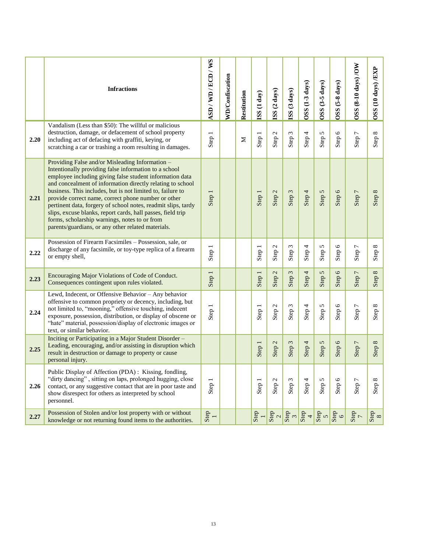|      | <b>Infractions</b>                                                                                                                                                                                                                                                                                                                                                                                                                                                                                                                                                                             | ASD/WD/ECD/WS | <b>WD/Confiscation</b> |             |             |                         |                                 | OSS (1-3 days) | OSS (3-5 days)     | $(5-8 \text{ days})$    | OSS (8-10 days) /OW                 | OSS (10 days) /EXP |
|------|------------------------------------------------------------------------------------------------------------------------------------------------------------------------------------------------------------------------------------------------------------------------------------------------------------------------------------------------------------------------------------------------------------------------------------------------------------------------------------------------------------------------------------------------------------------------------------------------|---------------|------------------------|-------------|-------------|-------------------------|---------------------------------|----------------|--------------------|-------------------------|-------------------------------------|--------------------|
|      |                                                                                                                                                                                                                                                                                                                                                                                                                                                                                                                                                                                                |               |                        | Restitution | ISS (1 day) | ISS (2 days)            | ISS (3 days)                    |                |                    | OSS <sub>O</sub>        |                                     |                    |
| 2.20 | Vandalism (Less than \$50): The willful or malicious<br>destruction, damage, or defacement of school property<br>including act of defacing with graffiti, keying, or<br>scratching a car or trashing a room resulting in damages.                                                                                                                                                                                                                                                                                                                                                              | Step 1        |                        | Σ           | Step 1      | Step 2                  | 3<br>Step:                      | Step 4         | 5<br>Step:         | $\circ$<br>Step (       | $\overline{ }$<br>Step <sup>-</sup> | Step 8             |
| 2.21 | Providing False and/or Misleading Information -<br>Intentionally providing false information to a school<br>employee including giving false student information data<br>and concealment of information directly relating to school<br>business. This includes, but is not limited to, failure to<br>provide correct name, correct phone number or other<br>pertinent data, forgery of school notes, readmit slips, tardy<br>slips, excuse blanks, report cards, hall passes, field trip<br>forms, scholarship warnings, notes to or from<br>parents/guardians, or any other related materials. | Step 1        |                        |             | Step 1      | Step 2                  | Step 3                          | Step 4         | Step 5             | Step 6                  | Step 7                              | Step 8             |
| 2.22 | Possession of Firearm Facsimiles - Possession, sale, or<br>discharge of any facsimile, or toy-type replica of a firearm<br>or empty shell,                                                                                                                                                                                                                                                                                                                                                                                                                                                     | Step 1        |                        |             | Step 1      | Step <sub>2</sub>       | 3<br><b>Step</b>                | Step 4         | Step 5             | Step 6                  | Step 7                              | Step 8             |
| 2.23 | Encouraging Major Violations of Code of Conduct.<br>Consequences contingent upon rules violated.                                                                                                                                                                                                                                                                                                                                                                                                                                                                                               | Step 1        |                        |             | Step 1      | Step 2                  | Step 3                          | Step 4         | 5<br>Step          | $\circ$<br>Step         | Step 7                              | $\infty$<br>Step   |
| 2.24 | Lewd, Indecent, or Offensive Behavior - Any behavior<br>offensive to common propriety or decency, including, but<br>not limited to, "mooning," offensive touching, indecent<br>exposure, possession, distribution, or display of obscene or<br>"hate" material, possession/display of electronic images or<br>text, or similar behavior.                                                                                                                                                                                                                                                       | Step 1        |                        |             | Step 1      | Step 2                  | Step 3                          | Step 4         | Step 5             | Step $6$                | Step 7                              | Step 8             |
| 2.25 | Inciting or Participating in a Major Student Disorder -<br>Leading, encouraging, and/or assisting in disruption which<br>result in destruction or damage to property or cause<br>personal injury.                                                                                                                                                                                                                                                                                                                                                                                              |               |                        |             | Step 1      | Step 2                  | $\omega$<br><b>Step</b>         | Step 4         | Step 5             | Step 6                  | Step 7                              | Step 8             |
| 2.26 | Public Display of Affection (PDA): Kissing, fondling,<br>"dirty dancing", sitting on laps, prolonged hugging, close<br>contact, or any suggestive contact that are in poor taste and<br>show disrespect for others as interpreted by school<br>personnel.                                                                                                                                                                                                                                                                                                                                      | Step 1        |                        |             | Step 1      | Step 2                  | $\epsilon$<br>Step <sup>-</sup> | Step 4         | 5<br>Step:         | $\mathbf \circ$<br>Step | $\overline{ }$<br><b>Step</b>       | Step 8             |
| 2.27 | Possession of Stolen and/or lost property with or without<br>knowledge or not returning found items to the authorities.                                                                                                                                                                                                                                                                                                                                                                                                                                                                        | $Step$<br>1   |                        |             | $Step$<br>1 | $\frac{\text{Step}}{2}$ |                                 | $\frac{1}{2}$  | $rac{1}{\sqrt{2}}$ | $\frac{9}{6}$           | $\frac{1}{2}$                       | $\frac{8}{8}$      |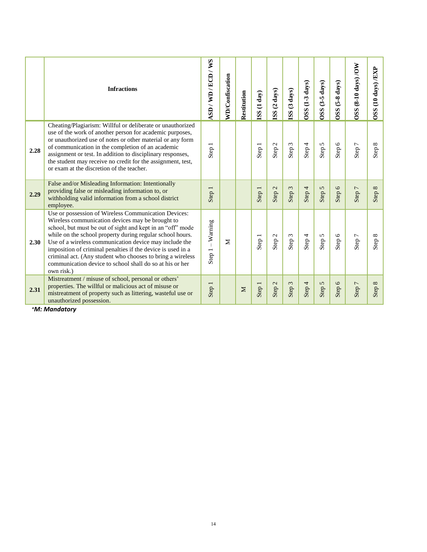|      | <b>Infractions</b>                                                                                                                                                                                                                                                                                                                                                                                                                                                                                   | ASD/WD/ECD/WS         | <b>WD/Confiscation</b> | Restitution | (1 day)<br><b>ISS</b> | ISS (2 days)      | (3 days)<br><b>ISS</b>    | OSS (1-3 days) | $(3-5 \text{ days})$<br><b>OSS</b> | $(5-8 \text{ days})$<br><b>OSS</b> | $(8-10 \text{ days})$ /OW<br><b>OSS</b> | $(10 \text{ days})$ $/$ $EXP$<br><b>OSS</b> |
|------|------------------------------------------------------------------------------------------------------------------------------------------------------------------------------------------------------------------------------------------------------------------------------------------------------------------------------------------------------------------------------------------------------------------------------------------------------------------------------------------------------|-----------------------|------------------------|-------------|-----------------------|-------------------|---------------------------|----------------|------------------------------------|------------------------------------|-----------------------------------------|---------------------------------------------|
| 2.28 | Cheating/Plagiarism: Willful or deliberate or unauthorized<br>use of the work of another person for academic purposes,<br>or unauthorized use of notes or other material or any form<br>of communication in the completion of an academic<br>assignment or test. In addition to disciplinary responses,<br>the student may receive no credit for the assignment, test,<br>or exam at the discretion of the teacher.                                                                                  | Step 1                |                        |             | Step 1                | Step 2            | Step 3                    | Step 4         | Step 5                             | Step 6                             | Step 7                                  | Step 8                                      |
| 2.29 | False and/or Misleading Information: Intentionally<br>providing false or misleading information to, or<br>withholding valid information from a school district<br>employee.                                                                                                                                                                                                                                                                                                                          | Step 1                |                        |             | Step 1                | Step <sub>2</sub> | $\sim$<br>Step?           | Step 4         | Step 5                             | Step 6                             | Step 7                                  | Step 8                                      |
| 2.30 | Use or possession of Wireless Communication Devices:<br>Wireless communication devices may be brought to<br>school, but must be out of sight and kept in an "off" mode<br>while on the school property during regular school hours.<br>Use of a wireless communication device may include the<br>imposition of criminal penalties if the device is used in a<br>criminal act. (Any student who chooses to bring a wireless<br>communication device to school shall do so at his or her<br>own risk.) | $-Wanning$<br>Step 1. | Σ                      |             | Step 1                | Step <sub>2</sub> | $\epsilon$<br><b>Step</b> | Step 4         | Step 5                             | Step 6                             | Step 7                                  | Step 8                                      |
| 2.31 | Mistreatment / misuse of school, personal or others'<br>properties. The willful or malicious act of misuse or<br>mistreatment of property such as littering, wasteful use or<br>unauthorized possession.                                                                                                                                                                                                                                                                                             | Step 1                |                        | $\geq$      | Step 1                | Step <sub>2</sub> | $\epsilon$<br>Step:       | Step 4         | Step 5                             | Step 6                             | Step 7                                  | Step 8                                      |

*\*M: Mandatory*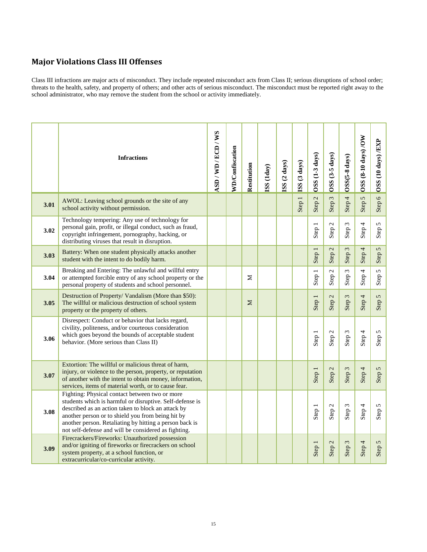#### **Major Violations Class III Offenses**

Class III infractions are major acts of misconduct. They include repeated misconduct acts from Class II; serious disruptions of school order; threats to the health, safety, and property of others; and other acts of serious misconduct. The misconduct must be reported right away to the school administrator, who may remove the student from the school or activity immediately.

|      | <b>Infractions</b>                                                                                                                                                                                                                                                                                                                       | ASD/WD/ECD/WS | <b>WD/Confiscation</b> | Restitution | (SS (1day | ISS (2 days) | ISS (3 days) | $OSS(1-3 \, \text{days})$                     | $OSS(3-5 \, \text{days})$          | OSS(5-8 days)                      | OSS (8-10 days) /OW | OSS (10 days) /EXP         |
|------|------------------------------------------------------------------------------------------------------------------------------------------------------------------------------------------------------------------------------------------------------------------------------------------------------------------------------------------|---------------|------------------------|-------------|-----------|--------------|--------------|-----------------------------------------------|------------------------------------|------------------------------------|---------------------|----------------------------|
| 3.01 | AWOL: Leaving school grounds or the site of any<br>school activity without permission.                                                                                                                                                                                                                                                   |               |                        |             |           |              | Step 1       | $\overline{\mathcal{L}}$<br>Step <sup>:</sup> | $\epsilon$<br>Step <sup>1</sup>    | Step 4                             | $\sigma$<br>Step:   | Step 6                     |
| 3.02 | Technology tempering: Any use of technology for<br>personal gain, profit, or illegal conduct, such as fraud,<br>copyright infringement, pornography, hacking, or<br>distributing viruses that result in disruption.                                                                                                                      |               |                        |             |           |              |              | Step 1                                        | $\mathcal{L}$<br>Step <sup>'</sup> | $\omega$<br>Step <sup>:</sup>      | Step 4              | Step 5                     |
| 3.03 | Battery: When one student physically attacks another<br>student with the intent to do bodily harm.                                                                                                                                                                                                                                       |               |                        |             |           |              |              | Step 1                                        | $\mathbf{C}$<br>Step <sup>'</sup>  | $\epsilon$<br>Step                 | Step 4              | $\mathbf{\hat{c}}$<br>Step |
| 3.04 | Breaking and Entering: The unlawful and willful entry<br>or attempted forcible entry of any school property or the<br>personal property of students and school personnel.                                                                                                                                                                |               |                        | Σ           |           |              |              | Step 1                                        | $\mathcal{L}$<br>Step <sup>:</sup> | $\tilde{\xi}$<br>Step <sup>-</sup> | 4<br>Step-          | Step 5                     |
| 3.05 | Destruction of Property/ Vandalism (More than \$50):<br>The willful or malicious destruction of school system<br>property or the property of others.                                                                                                                                                                                     |               |                        | $\Sigma$    |           |              |              | Step 1                                        | $\mathbf{C}$<br>Step?              | $\sim$<br>Step?                    | Step 4              | Step 5                     |
| 3.06 | Disrespect: Conduct or behavior that lacks regard,<br>civility, politeness, and/or courteous consideration<br>which goes beyond the bounds of acceptable student<br>behavior. (More serious than Class II)                                                                                                                               |               |                        |             |           |              |              | Step 1                                        | Step <sub>2</sub>                  | Step 3                             | Step 4              | Step 5                     |
| 3.07 | Extortion: The willful or malicious threat of harm,<br>injury, or violence to the person, property, or reputation<br>of another with the intent to obtain money, information,<br>services, items of material worth, or to cause fear.                                                                                                    |               |                        |             |           |              |              | Step 1                                        | Step 2                             | Step 3                             | Step 4              | Step 5                     |
| 3.08 | Fighting: Physical contact between two or more<br>students which is harmful or disruptive. Self-defense is<br>described as an action taken to block an attack by<br>another person or to shield you from being hit by<br>another person. Retaliating by hitting a person back is<br>not self-defense and will be considered as fighting. |               |                        |             |           |              |              | Step 1                                        | Step <sub>2</sub>                  | Step 3                             | Step 4              | Step 5                     |
| 3.09 | Firecrackers/Fireworks: Unauthorized possession<br>and/or igniting of fireworks or firecrackers on school<br>system property, at a school function, or<br>extracurricular/co-curricular activity.                                                                                                                                        |               |                        |             |           |              |              | Step 1                                        | Step <sub>2</sub>                  | Step 3                             | Step 4              | Step 5                     |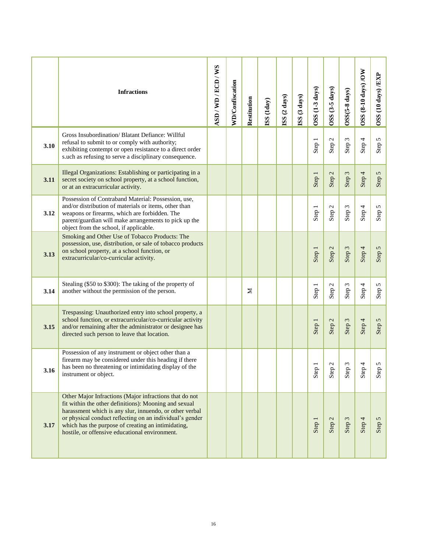|      | <b>Infractions</b>                                                                                                                                                                                                                                                                                                                             | ASD/WD/ECD/WS | <b>WD/Confiscation</b> | Restitution | SS(1day) | ISS (2 days) | ISS (3 days) | $OSS(1-3 \text{ days})$ | OSS (3-5 days)                     | $OSS(5-8 \text{ days})$ | OSS (8-10 days) /OW | OSS (10 days) /EXP |
|------|------------------------------------------------------------------------------------------------------------------------------------------------------------------------------------------------------------------------------------------------------------------------------------------------------------------------------------------------|---------------|------------------------|-------------|----------|--------------|--------------|-------------------------|------------------------------------|-------------------------|---------------------|--------------------|
| 3.10 | Gross Insubordination/Blatant Defiance: Willful<br>refusal to submit to or comply with authority;<br>exhibiting contempt or open resistance to a direct order<br>s.uch as refusing to serve a disciplinary consequence.                                                                                                                        |               |                        |             |          |              |              | Step 1                  | Step <sub>2</sub>                  | Step 3                  | Step 4              | Step 5             |
| 3.11 | Illegal Organizations: Establishing or participating in a<br>secret society on school property, at a school function,<br>or at an extracurricular activity.                                                                                                                                                                                    |               |                        |             |          |              |              | Step 1                  | $\mathcal{L}$<br>Step <sup>:</sup> | Step 3                  | Step 4              | Step 5             |
| 3.12 | Possession of Contraband Material: Possession, use,<br>and/or distribution of materials or items, other than<br>weapons or firearms, which are forbidden. The<br>parent/guardian will make arrangements to pick up the<br>object from the school, if applicable.                                                                               |               |                        |             |          |              |              | Step 1                  | Step <sub>2</sub>                  | Step 3                  | Step 4              | Step 5             |
| 3.13 | Smoking and Other Use of Tobacco Products: The<br>possession, use, distribution, or sale of tobacco products<br>on school property, at a school function, or<br>extracurricular/co-curricular activity.                                                                                                                                        |               |                        |             |          |              |              | Step 1                  | Step 2                             | Step 3                  | Step 4              | Step 5             |
| 3.14 | Stealing (\$50 to \$300): The taking of the property of<br>another without the permission of the person.                                                                                                                                                                                                                                       |               |                        | Σ           |          |              |              | Step 1                  | Step <sub>2</sub>                  | Step 3                  | Step 4              | Step 5             |
| 3.15 | Trespassing: Unauthorized entry into school property, a<br>school function, or extracurricular/co-curricular activity<br>and/or remaining after the administrator or designee has<br>directed such person to leave that location.                                                                                                              |               |                        |             |          |              |              | Step 1                  | $\mathcal{L}$<br>Step <sup>1</sup> | Step 3                  | Step 4              | Step 5             |
| 3.16 | Possession of any instrument or object other than a<br>firearm may be considered under this heading if there<br>has been no threatening or intimidating display of the<br>instrument or object.                                                                                                                                                |               |                        |             |          |              |              | Step                    | $\mathcal{L}$<br>Step              | $\epsilon$<br>Step      | 4<br>Step           | 5<br>Step          |
| 3.17 | Other Major Infractions (Major infractions that do not<br>fit within the other definitions): Mooning and sexual<br>harassment which is any slur, innuendo, or other verbal<br>or physical conduct reflecting on an individual's gender<br>which has the purpose of creating an intimidating,<br>hostile, or offensive educational environment. |               |                        |             |          |              |              | Step                    | Step 2                             | Step 3                  | Step 4              | Step 5             |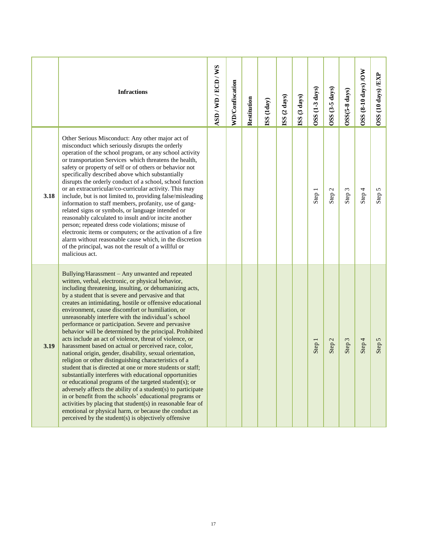|      | <b>Infractions</b>                                                                                                                                                                                                                                                                                                                                                                                                                                                                                                                                                                                                                                                                                                                                                                                                                                                                                                                                                                                                                                                                                                                                                                                                                                     | ASD/WD/ECD/WS | <b>WD/Confiscation</b> | Restitution | (3S)(1day) | ISS (2 days) | ISS (3 days) | OSS (1-3 days) | OSS (3-5 days) | OSS(5-8 days) | OSS (8-10 days) /OW | OSS (10 days) /EXP |
|------|--------------------------------------------------------------------------------------------------------------------------------------------------------------------------------------------------------------------------------------------------------------------------------------------------------------------------------------------------------------------------------------------------------------------------------------------------------------------------------------------------------------------------------------------------------------------------------------------------------------------------------------------------------------------------------------------------------------------------------------------------------------------------------------------------------------------------------------------------------------------------------------------------------------------------------------------------------------------------------------------------------------------------------------------------------------------------------------------------------------------------------------------------------------------------------------------------------------------------------------------------------|---------------|------------------------|-------------|------------|--------------|--------------|----------------|----------------|---------------|---------------------|--------------------|
| 3.18 | Other Serious Misconduct: Any other major act of<br>misconduct which seriously disrupts the orderly<br>operation of the school program, or any school activity<br>or transportation Services which threatens the health,<br>safety or property of self or of others or behavior not<br>specifically described above which substantially<br>disrupts the orderly conduct of a school, school function<br>or an extracurricular/co-curricular activity. This may<br>include, but is not limited to, providing false/misleading<br>information to staff members, profanity, use of gang-<br>related signs or symbols, or language intended or<br>reasonably calculated to insult and/or incite another<br>person; repeated dress code violations; misuse of<br>electronic items or computers; or the activation of a fire<br>alarm without reasonable cause which, in the discretion<br>of the principal, was not the result of a willful or<br>malicious act.                                                                                                                                                                                                                                                                                            |               |                        |             |            |              |              | Step 1         | Step 2         | Step 3        | Step 4              | Step 5             |
| 3.19 | Bullying/Harassment – Any unwanted and repeated<br>written, verbal, electronic, or physical behavior,<br>including threatening, insulting, or dehumanizing acts,<br>by a student that is severe and pervasive and that<br>creates an intimidating, hostile or offensive educational<br>environment, cause discomfort or humiliation, or<br>unreasonably interfere with the individual's school<br>performance or participation. Severe and pervasive<br>behavior will be determined by the principal. Prohibited<br>acts include an act of violence, threat of violence, or<br>harassment based on actual or perceived race, color,<br>national origin, gender, disability, sexual orientation,<br>religion or other distinguishing characteristics of a<br>student that is directed at one or more students or staff;<br>substantially interferes with educational opportunities<br>or educational programs of the targeted student(s); or<br>adversely affects the ability of a student(s) to participate<br>in or benefit from the schools' educational programs or<br>activities by placing that student(s) in reasonable fear of<br>emotional or physical harm, or because the conduct as<br>perceived by the student(s) is objectively offensive |               |                        |             |            |              |              | Step 1         | Step 2         | Step 3        | Step 4              | Step 5             |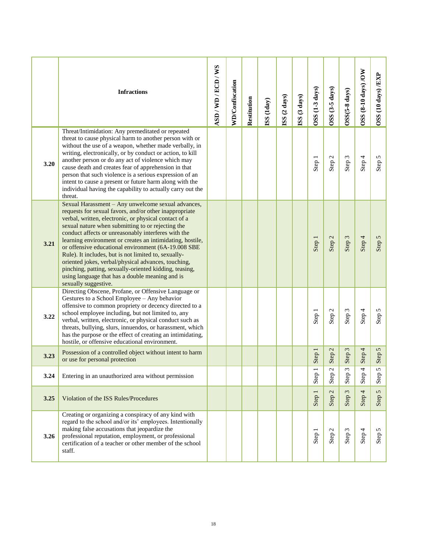|      | <b>Infractions</b>                                                                                                                                                                                                                                                                                                                                                                                                                                                                                                                                                                                                                                        | ASD/WD/ECD/WS | <b>WD/Confiscation</b> | Restitution | SS(1day) | ISS (2 days) | ISS (3 days) | $OSS(1-3 \, days)$ | OSS (3-5 days)               | OSS(5-8 days)    | OSS (8-10 days) /OW              | OSS (10 days) /EXP |
|------|-----------------------------------------------------------------------------------------------------------------------------------------------------------------------------------------------------------------------------------------------------------------------------------------------------------------------------------------------------------------------------------------------------------------------------------------------------------------------------------------------------------------------------------------------------------------------------------------------------------------------------------------------------------|---------------|------------------------|-------------|----------|--------------|--------------|--------------------|------------------------------|------------------|----------------------------------|--------------------|
| 3.20 | Threat/Intimidation: Any premeditated or repeated<br>threat to cause physical harm to another person with or<br>without the use of a weapon, whether made verbally, in<br>writing, electronically, or by conduct or action, to kill<br>another person or do any act of violence which may<br>cause death and creates fear of apprehension in that<br>person that such violence is a serious expression of an<br>intent to cause a present or future harm along with the<br>individual having the capability to actually carry out the<br>threat.                                                                                                          |               |                        |             |          |              |              | Step 1             | Step 2                       | Step 3           | Step 4                           | Step 5             |
| 3.21 | Sexual Harassment - Any unwelcome sexual advances,<br>requests for sexual favors, and/or other inappropriate<br>verbal, written, electronic, or physical contact of a<br>sexual nature when submitting to or rejecting the<br>conduct affects or unreasonably interferes with the<br>learning environment or creates an intimidating, hostile,<br>or offensive educational environment (6A-19.008 SBE<br>Rule). It includes, but is not limited to, sexually-<br>oriented jokes, verbal/physical advances, touching,<br>pinching, patting, sexually-oriented kidding, teasing,<br>using language that has a double meaning and is<br>sexually suggestive. |               |                        |             |          |              |              | Step 1             | $\mathcal{L}$<br>Step?       | Step 3           | Step 4                           | Step 5             |
| 3.22 | Directing Obscene, Profane, or Offensive Language or<br>Gestures to a School Employee - Any behavior<br>offensive to common propriety or decency directed to a<br>school employee including, but not limited to, any<br>verbal, written, electronic, or physical conduct such as<br>threats, bullying, slurs, innuendos, or harassment, which<br>has the purpose or the effect of creating an intimidating,<br>hostile, or offensive educational environment.                                                                                                                                                                                             |               |                        |             |          |              |              | Step 1             | Step 2                       | Step 3           | Step 4                           | Step 5             |
| 3.23 | Possession of a controlled object without intent to harm<br>or use for personal protection                                                                                                                                                                                                                                                                                                                                                                                                                                                                                                                                                                |               |                        |             |          |              |              | Step 1             | $\mathcal{L}$<br>Step        | $\sim$<br>Step   | Step 4                           | Step 5             |
| 3.24 | Entering in an unauthorized area without permission                                                                                                                                                                                                                                                                                                                                                                                                                                                                                                                                                                                                       |               |                        |             |          |              |              | Step 1             | $\mathcal{L}$<br>Step        | $\omega$<br>Step | 4<br>Step                        | 5<br>Step          |
| 3.25 | Violation of the ISS Rules/Procedures                                                                                                                                                                                                                                                                                                                                                                                                                                                                                                                                                                                                                     |               |                        |             |          |              |              | Step 1             | $\mathcal{L}$<br>Step        | $\omega$<br>Step | $\overline{\mathcal{A}}$<br>Step | Step 5             |
| 3.26 | Creating or organizing a conspiracy of any kind with<br>regard to the school and/or its' employees. Intentionally<br>making false accusations that jeopardize the<br>professional reputation, employment, or professional<br>certification of a teacher or other member of the school<br>staff.                                                                                                                                                                                                                                                                                                                                                           |               |                        |             |          |              |              | Step 1             | $\mathcal{L}$<br><b>Step</b> | Step 3           | Step 4                           | Step 5             |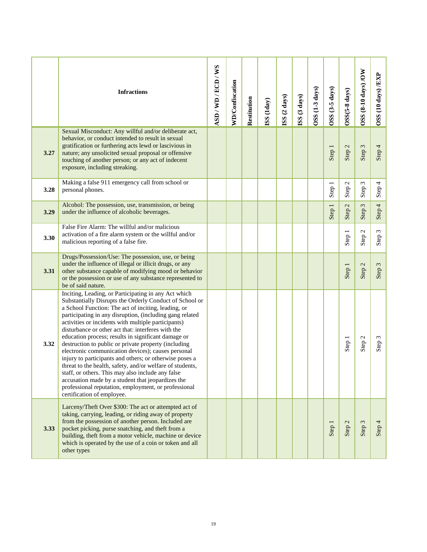|      | <b>Infractions</b>                                                                                                                                                                                                                                                                                                                                                                                                                                                                                                                                                                                                                                                                                                                                                                                                                           | ASD/WD/ECD/WS | <b>WD/Confiscation</b> | Restitution | (SS (1day | ISS (2 days) | ISS (3 days) | OSS (1-3 days) | OSS (3-5 days) | OSS(5-8 days)                       | OSS (8-10 days) /OW    | OSS (10 days) /EXP |
|------|----------------------------------------------------------------------------------------------------------------------------------------------------------------------------------------------------------------------------------------------------------------------------------------------------------------------------------------------------------------------------------------------------------------------------------------------------------------------------------------------------------------------------------------------------------------------------------------------------------------------------------------------------------------------------------------------------------------------------------------------------------------------------------------------------------------------------------------------|---------------|------------------------|-------------|-----------|--------------|--------------|----------------|----------------|-------------------------------------|------------------------|--------------------|
| 3.27 | Sexual Misconduct: Any willful and/or deliberate act,<br>behavior, or conduct intended to result in sexual<br>gratification or furthering acts lewd or lascivious in<br>nature; any unsolicited sexual proposal or offensive<br>touching of another person; or any act of indecent<br>exposure, including streaking.                                                                                                                                                                                                                                                                                                                                                                                                                                                                                                                         |               |                        |             |           |              |              |                | Step 1         | Step 2                              | Step 3                 | Step 4             |
| 3.28 | Making a false 911 emergency call from school or<br>personal phones.                                                                                                                                                                                                                                                                                                                                                                                                                                                                                                                                                                                                                                                                                                                                                                         |               |                        |             |           |              |              |                | Step 1         | $\mathbf{C}$<br>Step <sup>:</sup>   | 3<br>Step <sup>-</sup> | Step 4             |
| 3.29 | Alcohol: The possession, use, transmission, or being<br>under the influence of alcoholic beverages.                                                                                                                                                                                                                                                                                                                                                                                                                                                                                                                                                                                                                                                                                                                                          |               |                        |             |           |              |              |                | Step 1         | $\mathfrak{c}$<br>Step <sup>1</sup> | $\omega$<br>Step       | Step 4             |
| 3.30 | False Fire Alarm: The willful and/or malicious<br>activation of a fire alarm system or the willful and/or<br>malicious reporting of a false fire.                                                                                                                                                                                                                                                                                                                                                                                                                                                                                                                                                                                                                                                                                            |               |                        |             |           |              |              |                |                | Step 1                              | Step <sub>2</sub>      | Step 3             |
| 3.31 | Drugs/Possession/Use: The possession, use, or being<br>under the influence of illegal or illicit drugs, or any<br>other substance capable of modifying mood or behavior<br>or the possession or use of any substance represented to<br>be of said nature.                                                                                                                                                                                                                                                                                                                                                                                                                                                                                                                                                                                    |               |                        |             |           |              |              |                |                | Step 1                              | Step 2                 | Step 3             |
| 3.32 | Inciting, Leading, or Participating in any Act which<br>Substantially Disrupts the Orderly Conduct of School or<br>a School Function: The act of inciting, leading, or<br>participating in any disruption, (including gang related<br>activities or incidents with multiple participants)<br>disturbance or other act that: interferes with the<br>education process; results in significant damage or<br>destruction to public or private property (including<br>electronic communication devices); causes personal<br>injury to participants and others; or otherwise poses a<br>threat to the health, safety, and/or welfare of students,<br>staff, or others. This may also include any false<br>accusation made by a student that jeopardizes the<br>professional reputation, employment, or professional<br>certification of employee. |               |                        |             |           |              |              |                |                | Step 1                              | Step 2                 | Step 3             |
| 3.33 | Larceny/Theft Over \$300: The act or attempted act of<br>taking, carrying, leading, or riding away of property<br>from the possession of another person. Included are<br>pocket picking, purse snatching, and theft from a<br>building, theft from a motor vehicle, machine or device<br>which is operated by the use of a coin or token and all<br>other types                                                                                                                                                                                                                                                                                                                                                                                                                                                                              |               |                        |             |           |              |              |                | Step 1         | Step 2                              | Step 3                 | Step 4             |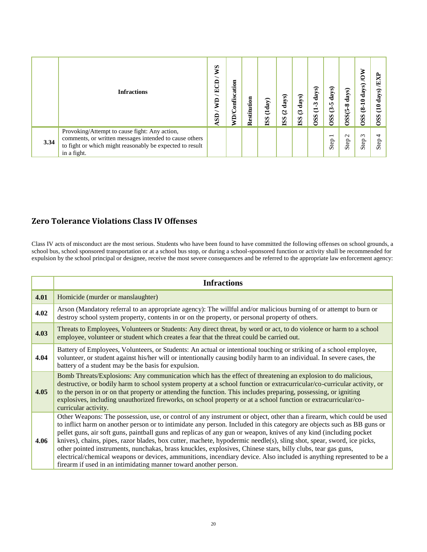|      | <b>Infractions</b>                                                                                                                                                                 | <b>NVS</b><br>ECD<br>ę<br>$\overline{\mathbf{s}}$ | <b>WD/Confiscation</b> | Restitution | (1day)<br><b>ISS</b> | days)<br>$\overline{a}$<br><b>ISS</b> | days)<br>$\tilde{\bm{c}}$<br><b>ISS</b> | ଇ<br>day<br>Ņ<br>$\overline{\phantom{0}}$<br><b>OSS</b> | days)<br>n,<br>$\boldsymbol{\epsilon}$<br>$\mathbf{S}$ | days)<br>$OSS(5-8)$ | MOV<br>days)<br>$(8-10)$<br><b>OSS</b> | ×<br>ë<br>ಾ<br>day<br>$\mathbf{a}$<br>S <sub>S</sub> |
|------|------------------------------------------------------------------------------------------------------------------------------------------------------------------------------------|---------------------------------------------------|------------------------|-------------|----------------------|---------------------------------------|-----------------------------------------|---------------------------------------------------------|--------------------------------------------------------|---------------------|----------------------------------------|------------------------------------------------------|
| 3.34 | Provoking/Attempt to cause fight: Any action,<br>comments, or written messages intended to cause others<br>to fight or which might reasonably be expected to result<br>in a fight. |                                                   |                        |             |                      |                                       |                                         |                                                         | $\overline{\phantom{0}}$<br>Step                       | $\sim$<br>Step      | $\omega$<br>Step                       | $\overline{ }$<br>Step                               |

# **Zero Tolerance Violations Class IV Offenses**

Class IV acts of misconduct are the most serious. Students who have been found to have committed the following offenses on school grounds, a school bus, school sponsored transportation or at a school bus stop, or during a school-sponsored function or activity shall be recommended for expulsion by the school principal or designee, receive the most severe consequences and be referred to the appropriate law enforcement agency:

|      | <b>Infractions</b>                                                                                                                                                                                                                                                                                                                                                                                                                                                                                                                                                                                                                                                                                                                                                                                           |
|------|--------------------------------------------------------------------------------------------------------------------------------------------------------------------------------------------------------------------------------------------------------------------------------------------------------------------------------------------------------------------------------------------------------------------------------------------------------------------------------------------------------------------------------------------------------------------------------------------------------------------------------------------------------------------------------------------------------------------------------------------------------------------------------------------------------------|
| 4.01 | Homicide (murder or manslaughter)                                                                                                                                                                                                                                                                                                                                                                                                                                                                                                                                                                                                                                                                                                                                                                            |
| 4.02 | Arson (Mandatory referral to an appropriate agency): The willful and/or malicious burning of or attempt to burn or<br>destroy school system property, contents in or on the property, or personal property of others.                                                                                                                                                                                                                                                                                                                                                                                                                                                                                                                                                                                        |
| 4.03 | Threats to Employees, Volunteers or Students: Any direct threat, by word or act, to do violence or harm to a school<br>employee, volunteer or student which creates a fear that the threat could be carried out.                                                                                                                                                                                                                                                                                                                                                                                                                                                                                                                                                                                             |
| 4.04 | Battery of Employees, Volunteers, or Students: An actual or intentional touching or striking of a school employee,<br>volunteer, or student against his/her will or intentionally causing bodily harm to an individual. In severe cases, the<br>battery of a student may be the basis for expulsion.                                                                                                                                                                                                                                                                                                                                                                                                                                                                                                         |
| 4.05 | Bomb Threats/Explosions: Any communication which has the effect of threatening an explosion to do malicious,<br>destructive, or bodily harm to school system property at a school function or extracurricular/co-curricular activity, or<br>to the person in or on that property or attending the function. This includes preparing, possessing, or igniting<br>explosives, including unauthorized fireworks, on school property or at a school function or extracurricular/co-<br>curricular activity.                                                                                                                                                                                                                                                                                                      |
| 4.06 | Other Weapons: The possession, use, or control of any instrument or object, other than a firearm, which could be used<br>to inflict harm on another person or to intimidate any person. Included in this category are objects such as BB guns or<br>pellet guns, air soft guns, paintball guns and replicas of any gun or weapon, knives of any kind (including pocket<br>knives), chains, pipes, razor blades, box cutter, machete, hypodermic needle(s), sling shot, spear, sword, ice picks,<br>other pointed instruments, nunchakas, brass knuckles, explosives, Chinese stars, billy clubs, tear gas guns,<br>electrical/chemical weapons or devices, ammunitions, incendiary device. Also included is anything represented to be a<br>firearm if used in an intimidating manner toward another person. |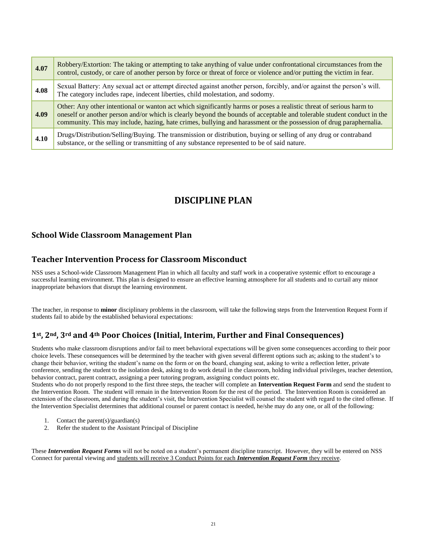| 4.07 | Robbery/Extortion: The taking or attempting to take anything of value under confrontational circumstances from the<br>control, custody, or care of another person by force or threat of force or violence and/or putting the victim in fear.                                                                                                                        |
|------|---------------------------------------------------------------------------------------------------------------------------------------------------------------------------------------------------------------------------------------------------------------------------------------------------------------------------------------------------------------------|
| 4.08 | Sexual Battery: Any sexual act or attempt directed against another person, forcibly, and/or against the person's will.<br>The category includes rape, indecent liberties, child molestation, and sodomy.                                                                                                                                                            |
| 4.09 | Other: Any other intentional or wanton act which significantly harms or poses a realistic threat of serious harm to<br>oneself or another person and/or which is clearly beyond the bounds of acceptable and tolerable student conduct in the<br>community. This may include, hazing, hate crimes, bullying and harassment or the possession of drug paraphernalia. |
| 4.10 | Drugs/Distribution/Selling/Buying. The transmission or distribution, buying or selling of any drug or contraband<br>substance, or the selling or transmitting of any substance represented to be of said nature.                                                                                                                                                    |

# **DISCIPLINE PLAN**

#### <span id="page-21-0"></span>**School Wide Classroom Management Plan**

#### **Teacher Intervention Process for Classroom Misconduct**

NSS uses a School-wide Classroom Management Plan in which all faculty and staff work in a cooperative systemic effort to encourage a successful learning environment. This plan is designed to ensure an effective learning atmosphere for all students and to curtail any minor inappropriate behaviors that disrupt the learning environment.

The teacher, in response to **minor** disciplinary problems in the classroom, will take the following steps from the Intervention Request Form if students fail to abide by the established behavioral expectations:

#### **1st, 2nd, 3rd and 4th Poor Choices (Initial, Interim, Further and Final Consequences)**

Students who make classroom disruptions and/or fail to meet behavioral expectations will be given some consequences according to their poor choice levels. These consequences will be determined by the teacher with given several different options such as; asking to the student's to change their behavior, writing the student's name on the form or on the board, changing seat, asking to write a reflection letter, private conference, sending the student to the isolation desk, asking to do work detail in the classroom, holding individual privileges, teacher detention, behavior contract, parent contract, assigning a peer tutoring program, assigning conduct points etc.

Students who do not properly respond to the first three steps, the teacher will complete an **Intervention Request Form** and send the student to the Intervention Room. The student will remain in the Intervention Room for the rest of the period. The Intervention Room is considered an extension of the classroom, and during the student's visit, the Intervention Specialist will counsel the student with regard to the cited offense. If the Intervention Specialist determines that additional counsel or parent contact is needed, he/she may do any one, or all of the following:

- 1. Contact the parent(s)/guardian(s)
- 2. Refer the student to the Assistant Principal of Discipline

These *Intervention Request Forms* will not be noted on a student's permanent discipline transcript. However, they will be entered on NSS Connect for parental viewing and students will receive 3 Conduct Points for each *Intervention Request Form* they receive.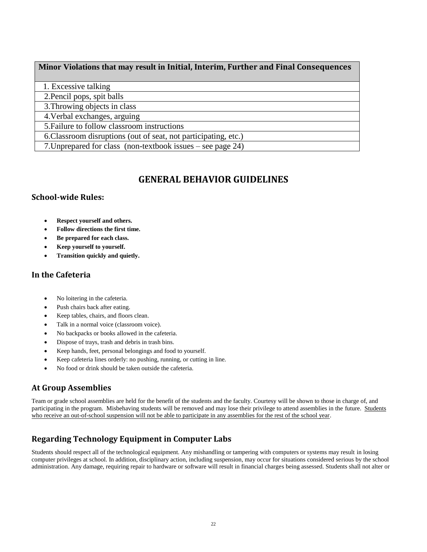#### **Minor Violations that may result in Initial, Interim, Further and Final Consequences**

1. Excessive talking

2.Pencil pops, spit balls

3.Throwing objects in class

4.Verbal exchanges, arguing

5.Failure to follow classroom instructions

6.Classroom disruptions (out of seat, not participating, etc.)

7.Unprepared for class (non-textbook issues – see page 24)

# **GENERAL BEHAVIOR GUIDELINES**

#### <span id="page-22-0"></span>**School-wide Rules:**

- **Respect yourself and others.**
- **Follow directions the first time.**
- **Be prepared for each class.**
- **Keep yourself to yourself.**
- **Transition quickly and quietly.**

#### **In the Cafeteria**

- No loitering in the cafeteria.
- Push chairs back after eating.
- Keep tables, chairs, and floors clean.
- Talk in a normal voice (classroom voice).
- No backpacks or books allowed in the cafeteria.
- Dispose of trays, trash and debris in trash bins.
- Keep hands, feet, personal belongings and food to yourself.
- Keep cafeteria lines orderly: no pushing, running, or cutting in line.
- No food or drink should be taken outside the cafeteria.

#### **At Group Assemblies**

Team or grade school assemblies are held for the benefit of the students and the faculty. Courtesy will be shown to those in charge of, and participating in the program. Misbehaving students will be removed and may lose their privilege to attend assemblies in the future. Students who receive an out-of-school suspension will not be able to participate in any assemblies for the rest of the school year.

# **Regarding Technology Equipment in Computer Labs**

Students should respect all of the technological equipment. Any mishandling or tampering with computers or systems may result in losing computer privileges at school. In addition, disciplinary action, including suspension, may occur for situations considered serious by the school administration. Any damage, requiring repair to hardware or software will result in financial charges being assessed. Students shall not alter or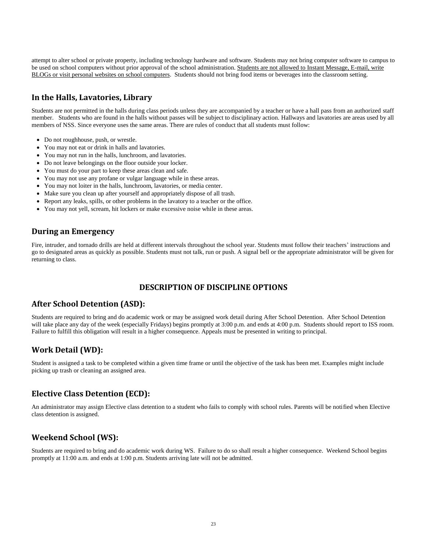attempt to alter school or private property, including technology hardware and software. Students may not bring computer software to campus to be used on school computers without prior approval of the school administration. Students are not allowed to Instant Message, E-mail, write BLOGs or visit personal websites on school computers. Students should not bring food items or beverages into the classroom setting.

#### **In the Halls, Lavatories, Library**

Students are not permitted in the halls during class periods unless they are accompanied by a teacher or have a hall pass from an authorized staff member. Students who are found in the halls without passes will be subject to disciplinary action. Hallways and lavatories are areas used by all members of NSS. Since everyone uses the same areas. There are rules of conduct that all students must follow:

- Do not roughhouse, push, or wrestle.
- You may not eat or drink in halls and lavatories.
- You may not run in the halls, lunchroom, and lavatories.
- Do not leave belongings on the floor outside your locker.
- You must do your part to keep these areas clean and safe.
- You may not use any profane or vulgar language while in these areas.
- You may not loiter in the halls, lunchroom, lavatories, or media center.
- Make sure you clean up after yourself and appropriately dispose of all trash.
- Report any leaks, spills, or other problems in the lavatory to a teacher or the office.
- You may not yell, scream, hit lockers or make excessive noise while in these areas.

#### **During an Emergency**

Fire, intruder, and tornado drills are held at different intervals throughout the school year. Students must follow their teachers' instructions and go to designated areas as quickly as possible. Students must not talk, run or push. A signal bell or the appropriate administrator will be given for returning to class.

#### **DESCRIPTION OF DISCIPLINE OPTIONS**

#### <span id="page-23-0"></span>**After School Detention (ASD):**

Students are required to bring and do academic work or may be assigned work detail during After School Detention. After School Detention will take place any day of the week (especially Fridays) begins promptly at 3:00 p.m. and ends at 4:00 p.m. Students should report to ISS room. Failure to fulfill this obligation will result in a higher consequence. Appeals must be presented in writing to principal.

#### **Work Detail (WD):**

Student is assigned a task to be completed within a given time frame or until the objective of the task has been met. Examples might include picking up trash or cleaning an assigned area.

#### **Elective Class Detention (ECD):**

An administrator may assign Elective class detention to a student who fails to comply with school rules. Parents will be notified when Elective class detention is assigned.

#### **Weekend School (WS):**

Students are required to bring and do academic work during WS. Failure to do so shall result a higher consequence. Weekend School begins promptly at 11:00 a.m. and ends at 1:00 p.m. Students arriving late will not be admitted.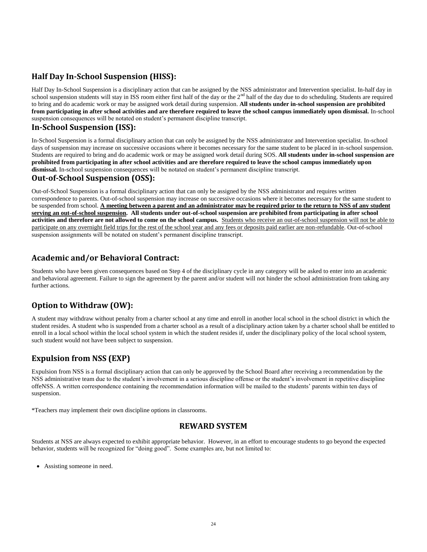#### **Half Day In-School Suspension (HISS):**

Half Day In-School Suspension is a disciplinary action that can be assigned by the NSS administrator and Intervention specialist. In-half day in school suspension students will stay in ISS room either first half of the day or the  $2<sup>nd</sup>$  half of the day due to do scheduling. Students are required to bring and do academic work or may be assigned work detail during suspension. **All students under in-school suspension are prohibited from participating in after school activities and are therefore required to leave the school campus immediately upon dismissal.** In-school suspension consequences will be notated on student's permanent discipline transcript.

#### **In-School Suspension (ISS):**

In-School Suspension is a formal disciplinary action that can only be assigned by the NSS administrator and Intervention specialist. In-school days of suspension may increase on successive occasions where it becomes necessary for the same student to be placed in in-school suspension. Students are required to bring and do academic work or may be assigned work detail during SOS. **All students under in-school suspension are prohibited from participating in after school activities and are therefore required to leave the school campus immediately upon dismissal.** In-school suspension consequences will be notated on student's permanent discipline transcript.

#### **Out-of-School Suspension (OSS):**

Out-of-School Suspension is a formal disciplinary action that can only be assigned by the NSS administrator and requires written correspondence to parents. Out-of-school suspension may increase on successive occasions where it becomes necessary for the same student to be suspended from school. **A meeting between a parent and an administrator may be required prior to the return to NSS of any student serving an out-of-school suspension. All students under out-of-school suspension are prohibited from participating in after school activities and therefore are not allowed to come on the school campus.** Students who receive an out-of-school suspension will not be able to participate on any overnight field trips for the rest of the school year and any fees or deposits paid earlier are non-refundable. Out-of-school suspension assignments will be notated on student's permanent discipline transcript.

#### **Academic and/or Behavioral Contract:**

Students who have been given consequences based on Step 4 of the disciplinary cycle in any category will be asked to enter into an academic and behavioral agreement. Failure to sign the agreement by the parent and/or student will not hinder the school administration from taking any further actions.

#### **Option to Withdraw (OW):**

A student may withdraw without penalty from a charter school at any time and enroll in another local school in the school district in which the student resides. A student who is suspended from a charter school as a result of a disciplinary action taken by a charter school shall be entitled to enroll in a local school within the local school system in which the student resides if, under the disciplinary policy of the local school system, such student would not have been subject to suspension.

# **Expulsion from NSS (EXP)**

Expulsion from NSS is a formal disciplinary action that can only be approved by the School Board after receiving a recommendation by the NSS administrative team due to the student's involvement in a serious discipline offense or the student's involvement in repetitive discipline offeNSS. A written correspondence containing the recommendation information will be mailed to the students' parents within ten days of suspension.

<span id="page-24-0"></span>\*Teachers may implement their own discipline options in classrooms.

#### **REWARD SYSTEM**

Students at NSS are always expected to exhibit appropriate behavior. However, in an effort to encourage students to go beyond the expected behavior, students will be recognized for "doing good". Some examples are, but not limited to:

Assisting someone in need.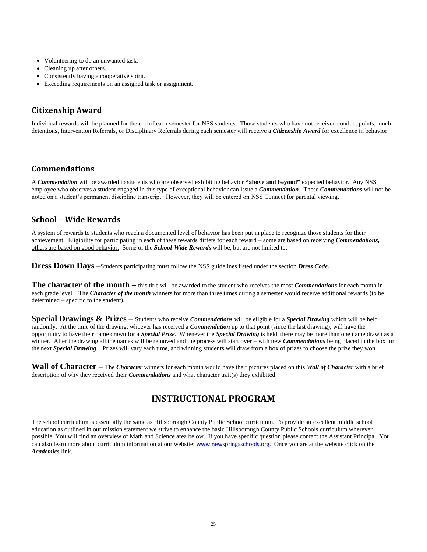- Volunteering to do an unwanted task.
- Cleaning up after others.
- Consistently having a cooperative spirit.
- Exceeding requirements on an assigned task or assignment.

#### **Citizenship Award**

Individual rewards will be planned for the end of each semester for NSS students. Those students who have not received conduct points, lunch detentions, Intervention Referrals, or Disciplinary Referrals during each semester will receive a *Citizenship Award* for excellence in behavior.

#### **Commendations**

A *Commendation* will be awarded to students who are observed exhibiting behavior **"above and beyond"** expected behavior. Any NSS employee who observes a student engaged in this type of exceptional behavior can issue a *Commendation*. These *Commendations* will not be noted on a student's permanent discipline transcript. However, they will be entered on NSS Connect for parental viewing.

#### **School – Wide Rewards**

A system of rewards to students who reach a documented level of behavior has been put in place to recognize those students for their achievement. Eligibility for participating in each of these rewards differs for each reward – some are based on receiving *Commendations,* others are based on good behavior. Some of the *School-Wide Rewards* will be, but are not limited to:

**Dress Down Days –**Students participating must follow the NSS guidelines listed under the section *Dress Code.*

**The character of the month –** this title will be awarded to the student who receives the most *Commendations* for each month in each grade level. The *Character of the month* winners for more than three times during a semester would receive additional rewards (to be determined – specific to the student).

**Special Drawings & Prizes –** Students who receive *Commendations* will be eligible for a *Special Drawing* which will be held randomly. At the time of the drawing, whoever has received a *Commendation* up to that point (since the last drawing), will have the opportunity to have their name drawn for a *Special Prize*. Whenever the *Special Drawing* is held, there may be more than one name drawn as a winner. After the drawing all the names will be removed and the process will start over – with new *Commendations* being placed in the box for the next *Special Drawing*. Prizes will vary each time, and winning students will draw from a box of prizes to choose the prize they won.

**Wall of Character –** The *Character* winners for each month would have their pictures placed on this *Wall of Character* with a brief description of why they received their *Commendations* and what character trait(s) they exhibited.

# **INSTRUCTIONAL PROGRAM**

<span id="page-25-0"></span>The school curriculum is essentially the same as Hillsborough County Public School curriculum. To provide an excellent middle school education as outlined in our mission statement we strive to enhance the basic Hillsborough County Public Schools curriculum wherever possible. You will find an overview of Math and Science area below. If you have specific question please contact the Assistant Principal. You can also learn more about curriculum information at our website: [www.newspringsschools.org](http://www.orlandoscience.org/). Once you are at the website click on the *Academics* link.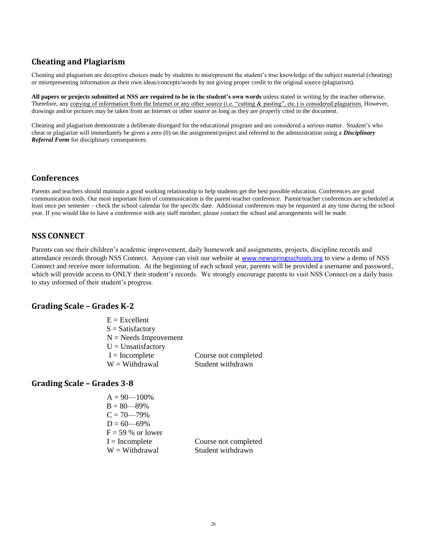#### **Cheating and Plagiarism**

Cheating and plagiarism are deceptive choices made by students to misrepresent the student's true knowledge of the subject material (cheating) or misrepresenting information as their own ideas/concepts/words by not giving proper credit to the original source (plagiarism).

**All papers or projects submitted at NSS are required to be in the student's own words** unless stated in writing by the teacher otherwise. Therefore, any copying of information from the Internet or any other source (i.e. "cutting & pasting", etc.) is considered plagiarism. However, drawings and/or pictures may be taken from an Internet or other source as long as they are properly cited in the document.

Cheating and plagiarism demonstrate a deliberate disregard for the educational program and are considered a serious matter. Student's who cheat or plagiarize will immediately be given a zero (0) on the assignment/project and referred to the administration using a *Disciplinary Referral Form* for disciplinary consequences.

#### **Conferences**

Parents and teachers should maintain a good working relationship to help students get the best possible education. Conferences are good communication tools. Our most important form of communication is the parent-teacher conference. Parent/teacher conferences are scheduled at least once per semester – check the school calendar for the specific date. Additional conferences may be requested at any time during the school year. If you would like to have a conference with any staff member, please contact the school and arrangements will be made.

#### **NSS CONNECT**

Parents can see their children's academic improvement, daily homework and assignments, projects, discipline records and attendance records through NSS Connect. Anyone can visit our website at [www.newspringsschools.org](http://www.starsmiddleschool.org/) to view a demo of NSS Connect and receive more information. At the beginning of each school year, parents will be provided a username and password, which will provide access to ONLY their student's records. We strongly encourage parents to visit NSS Connect on a daily basis to stay informed of their student's progress.

#### **Grading Scale – Grades K-2**

| $E = Excellent$         |                      |
|-------------------------|----------------------|
| $S = Satisfactory$      |                      |
| $N =$ Needs Improvement |                      |
| $U = Unsatisfactory$    |                      |
| $I = Incomplete$        | Course not completed |
| $W = With drawn$        | Student withdrawn    |
|                         |                      |

#### **Grading Scale – Grades 3-8**

| $A = 90 - 100\%$    |                      |
|---------------------|----------------------|
| $B = 80 - 89\%$     |                      |
| $C = 70 - 79\%$     |                      |
| $D = 60 - 69\%$     |                      |
| $F = 59 %$ or lower |                      |
| $I = Incomplete$    | Course not completed |
| $W = With drawn$    | Student withdrawn    |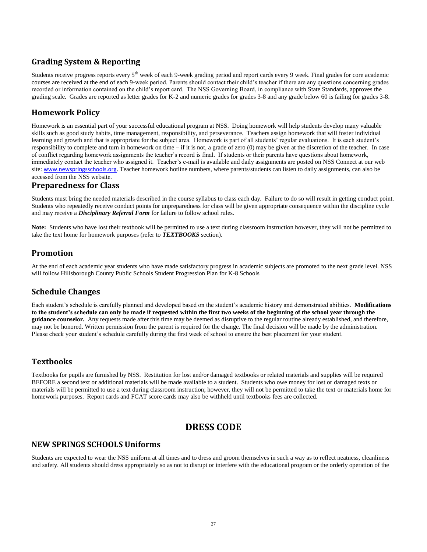#### **Grading System & Reporting**

Students receive progress reports every 5<sup>th</sup> week of each 9-week grading period and report cards every 9 week. Final grades for core academic courses are received at the end of each 9-week period. Parents should contact their child's teacher if there are any questions concerning grades recorded or information contained on the child's report card. The NSS Governing Board, in compliance with State Standards, approves the grading scale. Grades are reported as letter grades for K-2 and numeric grades for grades 3-8 and any grade below 60 is failing for grades 3-8.

#### **Homework Policy**

Homework is an essential part of your successful educational program at NSS. Doing homework will help students develop many valuable skills such as good study habits, time management, responsibility, and perseverance. Teachers assign homework that will foster individual learning and growth and that is appropriate for the subject area. Homework is part of all students' regular evaluations. It is each student's responsibility to complete and turn in homework on time – if it is not, a grade of zero  $(0)$  may be given at the discretion of the teacher. In case of conflict regarding homework assignments the teacher's record is final. If students or their parents have questions about homework, immediately contact the teacher who assigned it. Teacher's e-mail is available and daily assignments are posted on NSS Connect at our web site: [www.newspringsschools.org](http://www.orlandoscience.org/). Teacher homework hotline numbers, where parents/students can listen to daily assignments, can also be accessed from the NSS website.

#### **Preparedness for Class**

Students must bring the needed materials described in the course syllabus to class each day. Failure to do so will result in getting conduct point. Students who repeatedly receive conduct points for unpreparedness for class will be given appropriate consequence within the discipline cycle and may receive a *Disciplinary Referral Form* for failure to follow school rules.

**Note:** Students who have lost their textbook will be permitted to use a text during classroom instruction however, they will not be permitted to take the text home for homework purposes (refer to *TEXTBOOKS* section).

#### **Promotion**

At the end of each academic year students who have made satisfactory progress in academic subjects are promoted to the next grade level. NSS will follow Hillsborough County Public Schools Student Progression Plan for K-8 Schools

#### **Schedule Changes**

Each student's schedule is carefully planned and developed based on the student's academic history and demonstrated abilities. **Modifications to the student's schedule can only be made if requested within the first two weeks of the beginning of the school year through the guidance counselor.** Any requests made after this time may be deemed as disruptive to the regular routine already established, and therefore, may not be honored. Written permission from the parent is required for the change. The final decision will be made by the administration. Please check your student's schedule carefully during the first week of school to ensure the best placement for your student.

#### **Textbooks**

Textbooks for pupils are furnished by NSS. Restitution for lost and/or damaged textbooks or related materials and supplies will be required BEFORE a second text or additional materials will be made available to a student. Students who owe money for lost or damaged texts or materials will be permitted to use a text during classroom instruction; however, they will not be permitted to take the text or materials home for homework purposes. Report cards and FCAT score cards may also be withheld until textbooks fees are collected.

# **DRESS CODE**

#### <span id="page-27-0"></span>**NEW SPRINGS SCHOOLS Uniforms**

Students are expected to wear the NSS uniform at all times and to dress and groom themselves in such a way as to reflect neatness, cleanliness and safety. All students should dress appropriately so as not to disrupt or interfere with the educational program or the orderly operation of the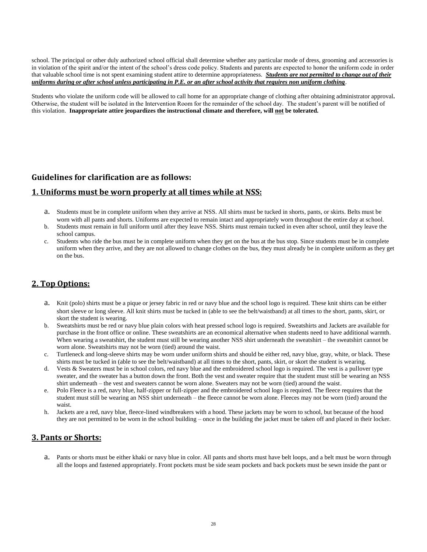school. The principal or other duly authorized school official shall determine whether any particular mode of dress, grooming and accessories is in violation of the spirit and/or the intent of the school's dress code policy. Students and parents are expected to honor the uniform code in order that valuable school time is not spent examining student attire to determine appropriateness. *Students are not permitted to change out of their uniforms during or after school unless participating in P.E. or an after school activity that requires non uniform clothing*.

Students who violate the uniform code will be allowed to call home for an appropriate change of clothing after obtaining administrator approval**.** Otherwise, the student will be isolated in the Intervention Room for the remainder of the school day. The student's parent will be notified of this violation. **Inappropriate attire jeopardizes the instructional climate and therefore, will not be tolerated.**

#### **Guidelines for clarification are as follows:**

#### **1. Uniforms must be worn properly at all times while at NSS:**

- a. Students must be in complete uniform when they arrive at NSS. All shirts must be tucked in shorts, pants, or skirts. Belts must be worn with all pants and shorts. Uniforms are expected to remain intact and appropriately worn throughout the entire day at school.
- b. Students must remain in full uniform until after they leave NSS. Shirts must remain tucked in even after school, until they leave the school campus.
- c. Students who ride the bus must be in complete uniform when they get on the bus at the bus stop. Since students must be in complete uniform when they arrive, and they are not allowed to change clothes on the bus, they must already be in complete uniform as they get on the bus.

#### **2. Top Options:**

- a. Knit (polo) shirts must be a pique or jersey fabric in red or navy blue and the school logo is required. These knit shirts can be either short sleeve or long sleeve. All knit shirts must be tucked in (able to see the belt/waistband) at all times to the short, pants, skirt, or skort the student is wearing.
- b. Sweatshirts must be red or navy blue plain colors with heat pressed school logo is required. Sweatshirts and Jackets are available for purchase in the front office or online. These sweatshirts are an economical alternative when students need to have additional warmth. When wearing a sweatshirt, the student must still be wearing another NSS shirt underneath the sweatshirt – the sweatshirt cannot be worn alone. Sweatshirts may not be worn (tied) around the waist.
- c. Turtleneck and long-sleeve shirts may be worn under uniform shirts and should be either red, navy blue, gray, white, or black. These shirts must be tucked in (able to see the belt/waistband) at all times to the short, pants, skirt, or skort the student is wearing.
- d. Vests & Sweaters must be in school colors, red navy blue and the embroidered school logo is required. The vest is a pullover type sweater, and the sweater has a button down the front. Both the vest and sweater require that the student must still be wearing an NSS shirt underneath – the vest and sweaters cannot be worn alone. Sweaters may not be worn (tied) around the waist.
- e. Polo Fleece is a red, navy blue, half-zipper or full-zipper and the embroidered school logo is required. The fleece requires that the student must still be wearing an NSS shirt underneath – the fleece cannot be worn alone. Fleeces may not be worn (tied) around the waist.
- h. Jackets are a red, navy blue, fleece-lined windbreakers with a hood. These jackets may be worn to school, but because of the hood they are not permitted to be worn in the school building – once in the building the jacket must be taken off and placed in their locker.

#### **3. Pants or Shorts:**

a. Pants or shorts must be either khaki or navy blue in color. All pants and shorts must have belt loops, and a belt must be worn through all the loops and fastened appropriately. Front pockets must be side seam pockets and back pockets must be sewn inside the pant or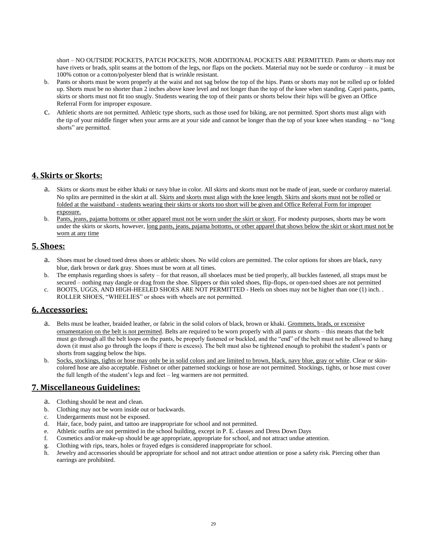short – NO OUTSIDE POCKETS, PATCH POCKETS, NOR ADDITIONAL POCKETS ARE PERMITTED. Pants or shorts may not have rivets or brads, split seams at the bottom of the legs, nor flaps on the pockets. Material may not be suede or corduroy – it must be 100% cotton or a cotton/polyester blend that is wrinkle resistant.

- b. Pants or shorts must be worn properly at the waist and not sag below the top of the hips. Pants or shorts may not be rolled up or folded up. Shorts must be no shorter than 2 inches above knee level and not longer than the top of the knee when standing. Capri pants, pants, skirts or shorts must not fit too snugly. Students wearing the top of their pants or shorts below their hips will be given an Office Referral Form for improper exposure.
- c. Athletic shorts are not permitted. Athletic type shorts, such as those used for biking, are not permitted. Sport shorts must align with the tip of your middle finger when your arms are at your side and cannot be longer than the top of your knee when standing – no "long shorts" are permitted.

#### **4. Skirts or Skorts:**

- a. Skirts or skorts must be either khaki or navy blue in color. All skirts and skorts must not be made of jean, suede or corduroy material. No splits are permitted in the skirt at all. Skirts and skorts must align with the knee length. Skirts and skorts must not be rolled or folded at the waistband - students wearing their skirts or skorts too short will be given and Office Referral Form for improper exposure.
- b. Pants, jeans, pajama bottoms or other apparel must not be worn under the skirt or skort. For modesty purposes, shorts may be worn under the skirts or skorts, however, long pants, jeans, pajama bottoms, or other apparel that shows below the skirt or skort must not be worn at any time

#### **5. Shoes:**

- a. Shoes must be closed toed dress shoes or athletic shoes. No wild colors are permitted. The color options for shoes are black, navy blue, dark brown or dark gray. Shoes must be worn at all times.
- b. The emphasis regarding shoes is safety for that reason, all shoelaces must be tied properly, all buckles fastened, all straps must be secured – nothing may dangle or drag from the shoe. Slippers or thin soled shoes, flip-flops, or open-toed shoes are not permitted
- c. BOOTS, UGGS, AND HIGH-HEELED SHOES ARE NOT PERMITTED Heels on shoes may not be higher than one (1) inch. . ROLLER SHOES, "WHEELIES" or shoes with wheels are not permitted.

#### **6. Accessories:**

- a. Belts must be leather, braided leather, or fabric in the solid colors of black, brown or khaki. Grommets, brads, or excessive ornamentation on the belt is not permitted. Belts are required to be worn properly with all pants or shorts – this means that the belt must go through all the belt loops on the pants, be properly fastened or buckled, and the "end" of the belt must not be allowed to hang down (it must also go through the loops if there is excess). The belt must also be tightened enough to prohibit the student's pants or shorts from sagging below the hips.
- b. Socks, stockings, tights or hose may only be in solid colors and are limited to brown, black, navy blue, gray or white. Clear or skincolored hose are also acceptable. Fishnet or other patterned stockings or hose are not permitted. Stockings, tights, or hose must cover the full length of the student's legs and feet – leg warmers are not permitted.

## **7. Miscellaneous Guidelines:**

- a. Clothing should be neat and clean.
- b. Clothing may not be worn inside out or backwards.
- c. Undergarments must not be exposed.
- d. Hair, face, body paint, and tattoo are inappropriate for school and not permitted.
- e. Athletic outfits are not permitted in the school building, except in P. E. classes and Dress Down Days
- f. Cosmetics and/or make-up should be age appropriate, appropriate for school, and not attract undue attention.
- g. Clothing with rips, tears, holes or frayed edges is considered inappropriate for school.
- h. Jewelry and accessories should be appropriate for school and not attract undue attention or pose a safety risk. Piercing other than earrings are prohibited.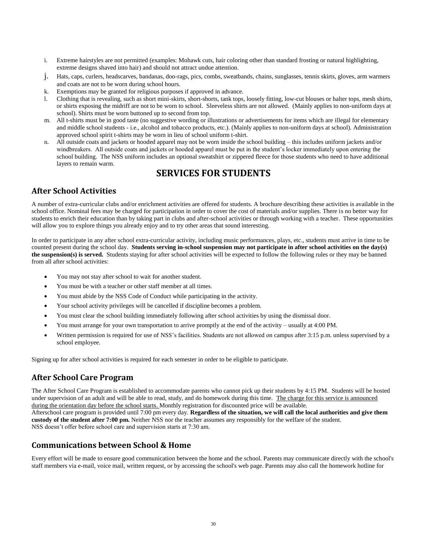- i. Extreme hairstyles are not permitted (examples: Mohawk cuts, hair coloring other than standard frosting or natural highlighting, extreme designs shaved into hair) and should not attract undue attention.
- j. Hats, caps, curlers, headscarves, bandanas, doo-rags, pics, combs, sweatbands, chains, sunglasses, tennis skirts, gloves, arm warmers and coats are not to be worn during school hours.
- k. Exemptions may be granted for religious purposes if approved in advance.
- l. Clothing that is revealing, such as short mini-skirts, short-shorts, tank tops, loosely fitting, low-cut blouses or halter tops, mesh shirts, or shirts exposing the midriff are not to be worn to school. Sleeveless shirts are not allowed. (Mainly applies to non-uniform days at school). Shirts must be worn buttoned up to second from top.
- m. All t-shirts must be in good taste (no suggestive wording or illustrations or advertisements for items which are illegal for elementary and middle school students - i.e., alcohol and tobacco products, etc.). (Mainly applies to non-uniform days at school). Administration approved school spirit t-shirts may be worn in lieu of school uniform t-shirt.
- n. All outside coats and jackets or hooded apparel may not be worn inside the school building this includes uniform jackets and/or windbreakers. All outside coats and jackets or hooded apparel must be put in the student's locker immediately upon entering the school building. The NSS uniform includes an optional sweatshirt or zippered fleece for those students who need to have additional layers to remain warm.

# **SERVICES FOR STUDENTS**

#### <span id="page-30-0"></span>**After School Activities**

A number of extra-curricular clubs and/or enrichment activities are offered for students. A brochure describing these activities is available in the school office. Nominal fees may be charged for participation in order to cover the cost of materials and/or supplies. There is no better way for students to enrich their education than by taking part in clubs and after-school activities or through working with a teacher. These opportunities will allow you to explore things you already enjoy and to try other areas that sound interesting.

In order to participate in any after school extra-curricular activity, including music performances, plays, etc., students must arrive in time to be counted present during the school day. **Students serving in-school suspension may not participate in after school activities on the day(s) the suspension(s) is served.** Students staying for after school activities will be expected to follow the following rules or they may be banned from all after school activities:

- You may not stay after school to wait for another student.
- You must be with a teacher or other staff member at all times.
- You must abide by the NSS Code of Conduct while participating in the activity.
- Your school activity privileges will be cancelled if discipline becomes a problem.
- You must clear the school building immediately following after school activities by using the dismissal door.
- You must arrange for your own transportation to arrive promptly at the end of the activity usually at 4:00 PM.
- Written permission is required for use of NSS's facilities. Students are not allowed on campus after 3:15 p.m. unless supervised by a school employee.

Signing up for after school activities is required for each semester in order to be eligible to participate.

#### **After School Care Program**

The After School Care Program is established to accommodate parents who cannot pick up their students by 4:15 PM. Students will be hosted under supervision of an adult and will be able to read, study, and do homework during this time. The charge for this service is announced during the orientation day before the school starts. Monthly registration for discounted price will be available. Afterschool care program is provided until 7:00 pm every day. **Regardless of the situation, we will call the local authorities and give them custody of the student after 7:00 pm.** Neither NSS nor the teacher assumes any responsibly for the welfare of the student. NSS doesn't offer before school care and supervision starts at 7:30 am.

#### **Communications between School & Home**

Every effort will be made to ensure good communication between the home and the school. Parents may communicate directly with the school's staff members via e-mail, voice mail, written request, or by accessing the school's web page. Parents may also call the homework hotline for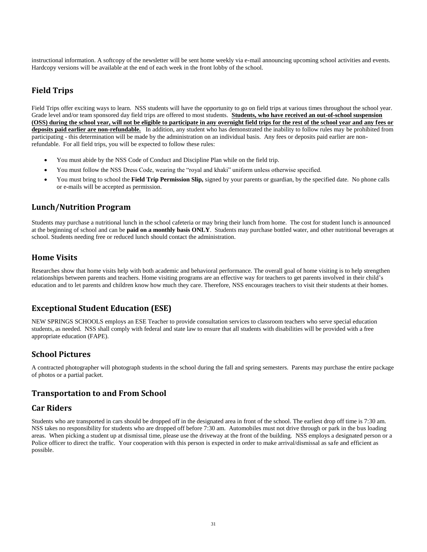instructional information. A softcopy of the newsletter will be sent home weekly via e-mail announcing upcoming school activities and events. Hardcopy versions will be available at the end of each week in the front lobby of the school.

#### **Field Trips**

Field Trips offer exciting ways to learn. NSS students will have the opportunity to go on field trips at various times throughout the school year. Grade level and/or team sponsored day field trips are offered to most students. **Students, who have received an out-of-school suspension (OSS) during the school year, will not be eligible to participate in any overnight field trips for the rest of the school year and any fees or deposits paid earlier are non-refundable.** In addition, any student who has demonstrated the inability to follow rules may be prohibited from participating - this determination will be made by the administration on an individual basis. Any fees or deposits paid earlier are nonrefundable. For all field trips, you will be expected to follow these rules:

- You must abide by the NSS Code of Conduct and Discipline Plan while on the field trip.
- You must follow the NSS Dress Code, wearing the "royal and khaki" uniform unless otherwise specified.
- You must bring to school the **Field Trip Permission Slip,** signed by your parents or guardian, by the specified date. No phone calls or e-mails will be accepted as permission.

#### **Lunch/Nutrition Program**

Students may purchase a nutritional lunch in the school cafeteria or may bring their lunch from home. The cost for student lunch is announced at the beginning of school and can be **paid on a monthly basis ONLY**. Students may purchase bottled water, and other nutritional beverages at school. Students needing free or reduced lunch should contact the administration.

#### **Home Visits**

Researches show that home visits help with both academic and behavioral performance. The overall goal of home visiting is to help strengthen relationships between parents and teachers. Home visiting programs are an effective way for teachers to get parents involved in their child's education and to let parents and children know how much they care. Therefore, NSS encourages teachers to visit their students at their homes.

#### **Exceptional Student Education (ESE)**

NEW SPRINGS SCHOOLS employs an ESE Teacher to provide consultation services to classroom teachers who serve special education students, as needed. NSS shall comply with federal and state law to ensure that all students with disabilities will be provided with a free appropriate education (FAPE).

#### **School Pictures**

A contracted photographer will photograph students in the school during the fall and spring semesters. Parents may purchase the entire package of photos or a partial packet.

#### **Transportation to and From School**

#### **Car Riders**

Students who are transported in cars should be dropped off in the designated area in front of the school. The earliest drop off time is 7:30 am. NSS takes no responsibility for students who are dropped off before 7:30 am. Automobiles must not drive through or park in the bus loading areas. When picking a student up at dismissal time, please use the driveway at the front of the building. NSS employs a designated person or a Police officer to direct the traffic. Your cooperation with this person is expected in order to make arrival/dismissal as safe and efficient as possible.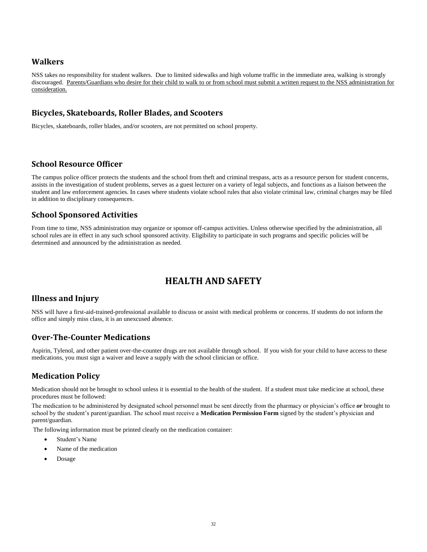#### **Walkers**

NSS takes no responsibility for student walkers. Due to limited sidewalks and high volume traffic in the immediate area, walking is strongly discouraged. Parents/Guardians who desire for their child to walk to or from school must submit a written request to the NSS administration for consideration.

#### **Bicycles, Skateboards, Roller Blades, and Scooters**

Bicycles, skateboards, roller blades, and/or scooters, are not permitted on school property.

#### **School Resource Officer**

The campus police officer protects the students and the school from theft and criminal trespass, acts as a resource person for student concerns, assists in the investigation of student problems, serves as a guest lecturer on a variety of legal subjects, and functions as a liaison between the student and law enforcement agencies. In cases where students violate school rules that also violate criminal law, criminal charges may be filed in addition to disciplinary consequences.

#### **School Sponsored Activities**

From time to time, NSS administration may organize or sponsor off-campus activities. Unless otherwise specified by the administration, all school rules are in effect in any such school sponsored activity. Eligibility to participate in such programs and specific policies will be determined and announced by the administration as needed.

# **HEALTH AND SAFETY**

#### <span id="page-32-0"></span>**Illness and Injury**

NSS will have a first-aid-trained-professional available to discuss or assist with medical problems or concerns. If students do not inform the office and simply miss class, it is an unexcused absence.

#### **Over-The-Counter Medications**

Aspirin, Tylenol, and other patient over-the-counter drugs are not available through school. If you wish for your child to have access to these medications, you must sign a waiver and leave a supply with the school clinician or office.

#### **Medication Policy**

Medication should not be brought to school unless it is essential to the health of the student. If a student must take medicine at school, these procedures must be followed:

The medication to be administered by designated school personnel must be sent directly from the pharmacy or physician's office *or* brought to school by the student's parent/guardian. The school must receive a **Medication Permission Form** signed by the student's physician and parent/guardian.

The following information must be printed clearly on the medication container:

- Student's Name
- Name of the medication
- Dosage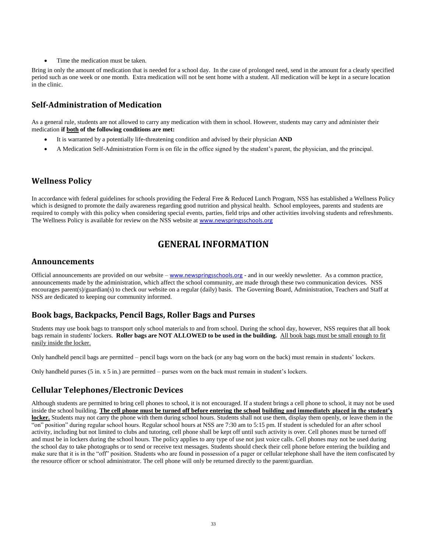Time the medication must be taken.

Bring in only the amount of medication that is needed for a school day. In the case of prolonged need, send in the amount for a clearly specified period such as one week or one month. Extra medication will not be sent home with a student. All medication will be kept in a secure location in the clinic.

#### **Self-Administration of Medication**

As a general rule, students are not allowed to carry any medication with them in school. However, students may carry and administer their medication **if both of the following conditions are met:**

- It is warranted by a potentially life-threatening condition and advised by their physician **AND**
- A Medication Self-Administration Form is on file in the office signed by the student's parent, the physician, and the principal.

#### **Wellness Policy**

In accordance with federal guidelines for schools providing the Federal Free & Reduced Lunch Program, NSS has established a Wellness Policy which is designed to promote the daily awareness regarding good nutrition and physical health. School employees, parents and students are required to comply with this policy when considering special events, parties, field trips and other activities involving students and refreshments. The Wellness Policy is available for review on the NSS website at [www.newspringsschools.org](http://www.orlandoscience.org/)

# **GENERAL INFORMATION**

#### <span id="page-33-0"></span>**Announcements**

Official announcements are provided on our website – [www.newspringsschools.org](http://www.orlandoscience.org/) - and in our weekly newsletter. As a common practice, announcements made by the administration, which affect the school community, are made through these two communication devices. NSS encourages parent(s)/guardian(s) to check our website on a regular (daily) basis. The Governing Board, Administration, Teachers and Staff at NSS are dedicated to keeping our community informed.

#### **Book bags, Backpacks, Pencil Bags, Roller Bags and Purses**

Students may use book bags to transport only school materials to and from school. During the school day, however, NSS requires that all book bags remain in students' lockers. **Roller bags are NOT ALLOWED to be used in the building.** All book bags must be small enough to fit easily inside the locker.

Only handheld pencil bags are permitted – pencil bags worn on the back (or any bag worn on the back) must remain in students' lockers.

Only handheld purses (5 in. x 5 in.) are permitted – purses worn on the back must remain in student's lockers.

#### **Cellular Telephones/Electronic Devices**

Although students are permitted to bring cell phones to school, it is not encouraged. If a student brings a cell phone to school, it may not be used inside the school building. **The cell phone must be turned off before entering the school building and immediately placed in the student's locker.** Students may not carry the phone with them during school hours. Students shall not use them, display them openly, or leave them in the "on" position" during regular school hours. Regular school hours at NSS are 7:30 am to 5:15 pm. If student is scheduled for an after school activity, including but not limited to clubs and tutoring, cell phone shall be kept off until such activity is over. Cell phones must be turned off and must be in lockers during the school hours. The policy applies to any type of use not just voice calls. Cell phones may not be used during the school day to take photographs or to send or receive text messages. Students should check their cell phone before entering the building and make sure that it is in the "off" position. Students who are found in possession of a pager or cellular telephone shall have the item confiscated by the resource officer or school administrator. The cell phone will only be returned directly to the parent/guardian.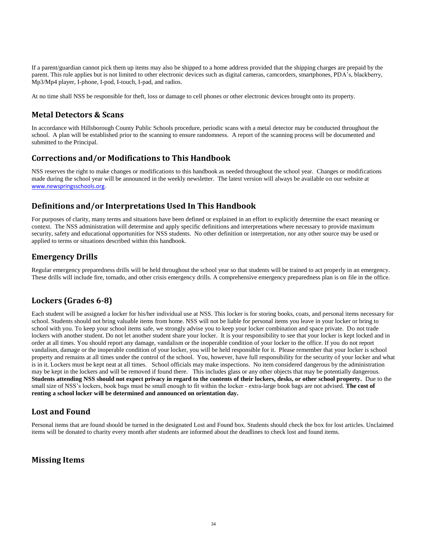If a parent/guardian cannot pick them up items may also be shipped to a home address provided that the shipping charges are prepaid by the parent. This rule applies but is not limited to other electronic devices such as digital cameras, camcorders, smartphones, PDA's, blackberry, Mp3/Mp4 player, I-phone, I-pod, I-touch, I-pad, and radios.

At no time shall NSS be responsible for theft, loss or damage to cell phones or other electronic devices brought onto its property.

#### **Metal Detectors & Scans**

In accordance with Hillsborough County Public Schools procedure, periodic scans with a metal detector may be conducted throughout the school. A plan will be established prior to the scanning to ensure randomness. A report of the scanning process will be documented and submitted to the Principal.

#### **Corrections and/or Modifications to This Handbook**

NSS reserves the right to make changes or modifications to this handbook as needed throughout the school year. Changes or modifications made during the school year will be announced in the weekly newsletter. The latest version will always be available on our website at [www.newspringsschools.org](http://www.orlandoscience.org/).

#### **Definitions and/or Interpretations Used In This Handbook**

For purposes of clarity, many terms and situations have been defined or explained in an effort to explicitly determine the exact meaning or context. The NSS administration will determine and apply specific definitions and interpretations where necessary to provide maximum security, safety and educational opportunities for NSS students. No other definition or interpretation, nor any other source may be used or applied to terms or situations described within this handbook.

#### **Emergency Drills**

Regular emergency preparedness drills will be held throughout the school year so that students will be trained to act properly in an emergency. These drills will include fire, tornado, and other crisis emergency drills. A comprehensive emergency preparedness plan is on file in the office.

# **Lockers (Grades 6-8)**

Each student will be assigned [a locker](../../AppData/Local/Microsoft/Windows/Temporary%20Internet%20Files/Content.Outlook/AppData/Local/Microsoft/Windows/Temporary%20Internet%20Files/Content.Outlook/AppData/Local/Microsoft/Windows/Temporary%20Internet%20Files/AppData/Local/Microsoft/Windows/Temporary%20Internet%20Files/AppData/Local/Microsoft/AppData/Local/Microsoft/Windows/AppData/Roaming/Microsoft/AppData/Local/Microsoft/Windows/Temporary%20Internet%20Files/Low/nsms/AppData/Local/Microsoft/Windows/Temporary%20Internet%20Files/Content.Outlook/AppData/Local/Microsoft/Windows/Temporary%20Internet%20Files/TEMP/GRAPHICS/modernization/lockr97f.jpg) for his/her individual use at NSS. This locker is for storing books, coats, and personal items necessary for school. Students should not bring valuable items from home. NSS will not be liable for personal items you leave in your locker or bring to school with you. To keep your school items safe, we strongly advise you to keep your locker combination and space private. Do not trade lockers with another student. Do not let another student share your locker. It is your responsibility to see that your locker is kept locked and in order at all times. You should report any damage, vandalism or the inoperable condition of your locker to the office. If you do not report vandalism, damage or the inoperable condition of your locker, you will be held responsible for it. Please remember that your locker is school property and remains at all times under the control of the school. You, however, have full responsibility for the security of your locker and what is in it. Lockers must be kept neat at all times. School officials may make inspections. No item considered dangerous by the administration may be kept in the lockers and will be removed if found there. This includes glass or any other objects that may be potentially dangerous. **Students attending NSS should not expect privacy in regard to the contents of their lockers, desks, or other school property.** Due to the small size of NSS's lockers, book bags must be small enough to fit within the locker - extra-large book bags are not advised. **The cost of renting a school locker will be determined and announced on orientation day.**

#### **Lost and Found**

Personal items that are found should be turned in the designated Lost and Found box. Students should check the box for lost articles. Unclaimed items will be donated to charity every month after students are informed about the deadlines to check lost and found items.

#### **Missing Items**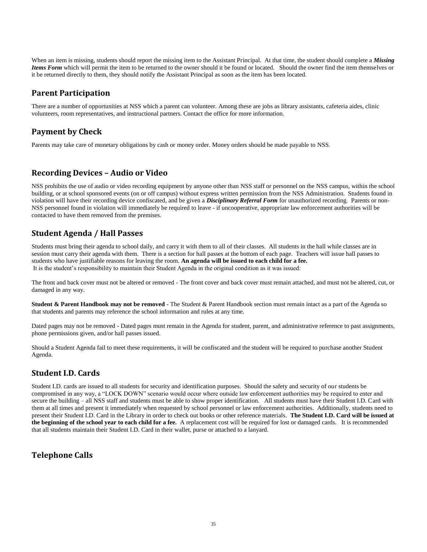When an item is missing, students should report the missing item to the Assistant Principal. At that time, the student should complete a *Missing Items Form* which will permit the item to be returned to the owner should it be found or located. Should the owner find the item themselves or it be returned directly to them, they should notify the Assistant Principal as soon as the item has been located.

#### **Parent Participation**

There are a number of opportunities at NSS which a parent can volunteer. Among these are jobs as library assistants, cafeteria aides, clinic volunteers, room representatives, and instructional partners. Contact the office for more information.

## **Payment by Check**

Parents may take care of monetary obligations by cash or money order. Money orders should be made payable to NSS.

#### **Recording Devices – Audio or Video**

NSS prohibits the use of audio or video recording equipment by anyone other than NSS staff or personnel on the NSS campus, within the school building, or at school sponsored events (on or off campus) without express written permission from the NSS Administration. Students found in violation will have their recording device confiscated, and be given a *Disciplinary Referral Form* for unauthorized recording. Parents or non-NSS personnel found in violation will immediately be required to leave - if uncooperative, appropriate law enforcement authorities will be contacted to have them removed from the premises.

## **Student Agenda / Hall Passes**

Students must bring their agenda to school daily, and carry it with them to all of their classes. All students in the hall while classes are in session must carry their agenda with them. There is a section for hall passes at the bottom of each page. Teachers will issue hall passes to students who have justifiable reasons for leaving the room. **An agenda will be issued to each child for a fee.** It is the student's responsibility to maintain their Student Agenda in the original condition as it was issued:

The front and back cover must not be altered or removed - The front cover and back cover must remain attached, and must not be altered, cut, or damaged in any way.

**Student & Parent Handbook may not be removed** - The Student & Parent Handbook section must remain intact as a part of the Agenda so that students and parents may reference the school information and rules at any time.

Dated pages may not be removed - Dated pages must remain in the Agenda for student, parent, and administrative reference to past assignments, phone permissions given, and/or hall passes issued.

Should a Student Agenda fail to meet these requirements, it will be confiscated and the student will be required to purchase another Student Agenda.

#### **Student I.D. Cards**

Student I.D. cards are issued to all students for security and identification purposes. Should the safety and security of our students be compromised in any way, a "LOCK DOWN" scenario would occur where outside law enforcement authorities may be required to enter and secure the building – all NSS staff and students must be able to show proper identification. All students must have their Student I.D. Card with them at all times and present it immediately when requested by school personnel or law enforcement authorities. Additionally, students need to present their Student I.D. Card in the Library in order to check out books or other reference materials. **The Student I.D. Card will be issued at the beginning of the school year to each child for a fee.** A replacement cost will be required for lost or damaged cards. It is recommended that all students maintain their Student I.D. Card in their wallet, purse or attached to a lanyard.

# **Telephone Calls**